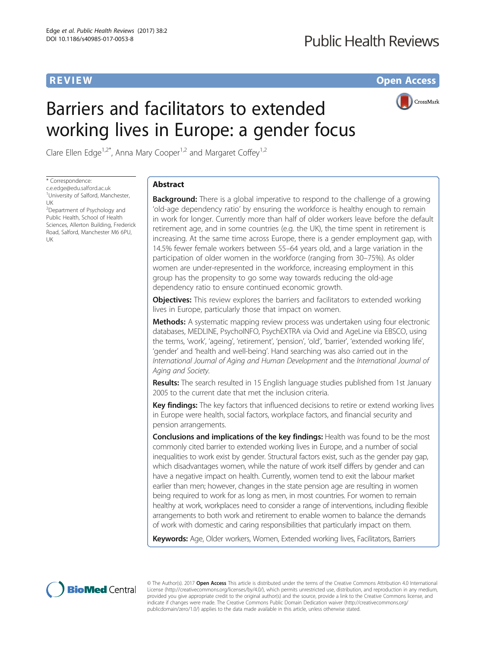**REVIEW CONSULTANT CONTROL** 

CrossMark

# Barriers and facilitators to extended working lives in Europe: a gender focus

Clare Ellen Edge<sup>1,2\*</sup>, Anna Mary Cooper<sup>1,2</sup> and Margaret Coffey<sup>1,2</sup>

\* Correspondence: [c.e.edge@edu.salford.ac.uk](mailto:c.e.edge@edu.salford.ac.uk) <sup>1</sup>University of Salford, Manchester, UK

<sup>2</sup>Department of Psychology and Public Health, School of Health Sciences, Allerton Building, Frederick Road, Salford, Manchester M6 6PU, UK

### Abstract

**Background:** There is a global imperative to respond to the challenge of a growing 'old-age dependency ratio' by ensuring the workforce is healthy enough to remain in work for longer. Currently more than half of older workers leave before the default retirement age, and in some countries (e.g. the UK), the time spent in retirement is increasing. At the same time across Europe, there is a gender employment gap, with 14.5% fewer female workers between 55–64 years old, and a large variation in the participation of older women in the workforce (ranging from 30–75%). As older women are under-represented in the workforce, increasing employment in this group has the propensity to go some way towards reducing the old-age dependency ratio to ensure continued economic growth.

**Objectives:** This review explores the barriers and facilitators to extended working lives in Europe, particularly those that impact on women.

**Methods:** A systematic mapping review process was undertaken using four electronic databases, MEDLINE, PsychoINFO, PsychEXTRA via Ovid and AgeLine via EBSCO, using the terms, 'work', 'ageing', 'retirement', 'pension', 'old', 'barrier', 'extended working life', 'gender' and 'health and well-being'. Hand searching was also carried out in the International Journal of Aging and Human Development and the International Journal of Aging and Society.

Results: The search resulted in 15 English language studies published from 1st January 2005 to the current date that met the inclusion criteria.

Key findings: The key factors that influenced decisions to retire or extend working lives in Europe were health, social factors, workplace factors, and financial security and pension arrangements.

Conclusions and implications of the key findings: Health was found to be the most commonly cited barrier to extended working lives in Europe, and a number of social inequalities to work exist by gender. Structural factors exist, such as the gender pay gap, which disadvantages women, while the nature of work itself differs by gender and can have a negative impact on health. Currently, women tend to exit the labour market earlier than men; however, changes in the state pension age are resulting in women being required to work for as long as men, in most countries. For women to remain healthy at work, workplaces need to consider a range of interventions, including flexible arrangements to both work and retirement to enable women to balance the demands of work with domestic and caring responsibilities that particularly impact on them.

Keywords: Age, Older workers, Women, Extended working lives, Facilitators, Barriers



© The Author(s). 2017 Open Access This article is distributed under the terms of the Creative Commons Attribution 4.0 International License ([http://creativecommons.org/licenses/by/4.0/\)](http://creativecommons.org/licenses/by/4.0/), which permits unrestricted use, distribution, and reproduction in any medium, provided you give appropriate credit to the original author(s) and the source, provide a link to the Creative Commons license, and indicate if changes were made. The Creative Commons Public Domain Dedication waiver ([http://creativecommons.org/](http://creativecommons.org/publicdomain/zero/1.0/) [publicdomain/zero/1.0/\)](http://creativecommons.org/publicdomain/zero/1.0/) applies to the data made available in this article, unless otherwise stated.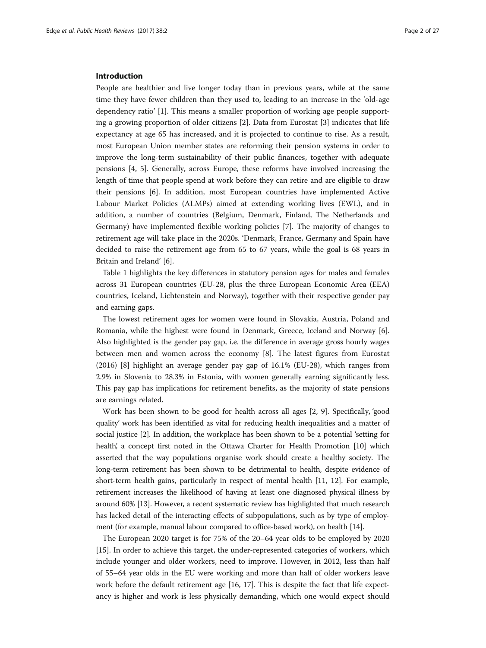### Introduction

People are healthier and live longer today than in previous years, while at the same time they have fewer children than they used to, leading to an increase in the 'old-age dependency ratio' [\[1](#page-24-0)]. This means a smaller proportion of working age people supporting a growing proportion of older citizens [[2\]](#page-24-0). Data from Eurostat [[3\]](#page-24-0) indicates that life expectancy at age 65 has increased, and it is projected to continue to rise. As a result, most European Union member states are reforming their pension systems in order to improve the long-term sustainability of their public finances, together with adequate pensions [[4, 5\]](#page-24-0). Generally, across Europe, these reforms have involved increasing the length of time that people spend at work before they can retire and are eligible to draw their pensions [\[6\]](#page-24-0). In addition, most European countries have implemented Active Labour Market Policies (ALMPs) aimed at extending working lives (EWL), and in addition, a number of countries (Belgium, Denmark, Finland, The Netherlands and Germany) have implemented flexible working policies [[7\]](#page-24-0). The majority of changes to retirement age will take place in the 2020s. 'Denmark, France, Germany and Spain have decided to raise the retirement age from 65 to 67 years, while the goal is 68 years in Britain and Ireland' [\[6](#page-24-0)].

Table [1](#page-2-0) highlights the key differences in statutory pension ages for males and females across 31 European countries (EU-28, plus the three European Economic Area (EEA) countries, Iceland, Lichtenstein and Norway), together with their respective gender pay and earning gaps.

The lowest retirement ages for women were found in Slovakia, Austria, Poland and Romania, while the highest were found in Denmark, Greece, Iceland and Norway [\[6](#page-24-0)]. Also highlighted is the gender pay gap, i.e. the difference in average gross hourly wages between men and women across the economy [\[8](#page-24-0)]. The latest figures from Eurostat (2016) [[8\]](#page-24-0) highlight an average gender pay gap of 16.1% (EU-28), which ranges from 2.9% in Slovenia to 28.3% in Estonia, with women generally earning significantly less. This pay gap has implications for retirement benefits, as the majority of state pensions are earnings related.

Work has been shown to be good for health across all ages [[2](#page-24-0), [9](#page-24-0)]. Specifically, 'good quality' work has been identified as vital for reducing health inequalities and a matter of social justice [[2\]](#page-24-0). In addition, the workplace has been shown to be a potential 'setting for health', a concept first noted in the Ottawa Charter for Health Promotion [\[10](#page-24-0)] which asserted that the way populations organise work should create a healthy society. The long-term retirement has been shown to be detrimental to health, despite evidence of short-term health gains, particularly in respect of mental health [[11](#page-24-0), [12](#page-24-0)]. For example, retirement increases the likelihood of having at least one diagnosed physical illness by around 60% [\[13\]](#page-24-0). However, a recent systematic review has highlighted that much research has lacked detail of the interacting effects of subpopulations, such as by type of employment (for example, manual labour compared to office-based work), on health [[14](#page-24-0)].

The European 2020 target is for 75% of the 20–64 year olds to be employed by 2020 [[15\]](#page-24-0). In order to achieve this target, the under-represented categories of workers, which include younger and older workers, need to improve. However, in 2012, less than half of 55–64 year olds in the EU were working and more than half of older workers leave work before the default retirement age [\[16, 17\]](#page-24-0). This is despite the fact that life expectancy is higher and work is less physically demanding, which one would expect should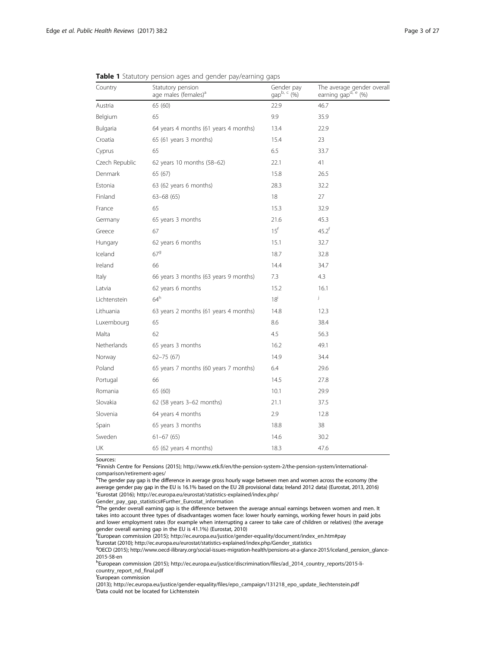| Country        | Statutory pension<br>age males (females) <sup>a</sup> | Gender pay<br>gap <sup>b, c</sup> (%) | The average gender overall<br>earning gap <sup>d, e</sup> (%) |
|----------------|-------------------------------------------------------|---------------------------------------|---------------------------------------------------------------|
| Austria        | 65 (60)                                               | 22.9                                  | 46.7                                                          |
| Belgium        | 65                                                    | 9.9                                   | 35.9                                                          |
| Bulgaria       | 64 years 4 months (61 years 4 months)                 | 13.4                                  | 22.9                                                          |
| Croatia        | 65 (61 years 3 months)                                | 15.4                                  | 23                                                            |
| Cyprus         | 65                                                    | 6.5                                   | 33.7                                                          |
| Czech Republic | 62 years 10 months (58-62)                            | 22.1                                  | 41                                                            |
| Denmark        | 65 (67)                                               | 15.8                                  | 26.5                                                          |
| Estonia        | 63 (62 years 6 months)                                | 28.3                                  | 32.2                                                          |
| Finland        | $63 - 68(65)$                                         | 18                                    | 27                                                            |
| France         | 65                                                    | 15.3                                  | 32.9                                                          |
| Germany        | 65 years 3 months                                     | 21.6                                  | 45.3                                                          |
| Greece         | 67                                                    | $15^{\rm f}$                          | $45.2^{t}$                                                    |
| Hungary        | 62 years 6 months                                     | 15.1                                  | 32.7                                                          |
| Iceland        | $67^9$                                                | 18.7                                  | 32.8                                                          |
| Ireland        | 66                                                    | 14.4                                  | 34.7                                                          |
| Italy          | 66 years 3 months (63 years 9 months)                 | 7.3                                   | 4.3                                                           |
| Latvia         | 62 years 6 months                                     | 15.2                                  | 16.1                                                          |
| Lichtenstein   | $64^h$                                                | $18^{\mathrm{i}}$                     | j                                                             |
| Lithuania      | 63 years 2 months (61 years 4 months)                 | 14.8                                  | 12.3                                                          |
| Luxembourg     | 65                                                    | 8.6                                   | 38.4                                                          |
| Malta          | 62                                                    | 4.5                                   | 56.3                                                          |
| Netherlands    | 65 years 3 months                                     | 16.2                                  | 49.1                                                          |
| Norway         | $62 - 75(67)$                                         | 14.9                                  | 34.4                                                          |
| Poland         | 65 years 7 months (60 years 7 months)                 | 6.4                                   | 29.6                                                          |
| Portugal       | 66                                                    | 14.5                                  | 27.8                                                          |
| Romania        | 65 (60)                                               | 10.1                                  | 29.9                                                          |
| Slovakia       | 62 (58 years 3–62 months)                             | 21.1                                  | 37.5                                                          |
| Slovenia       | 64 years 4 months                                     | 2.9                                   | 12.8                                                          |
| Spain          | 65 years 3 months                                     | 18.8                                  | 38                                                            |
| Sweden         | $61 - 67(65)$                                         | 14.6                                  | 30.2                                                          |
| UK             | 65 (62 years 4 months)                                | 18.3                                  | 47.6                                                          |

<span id="page-2-0"></span>Table 1 Statutory pension ages and gender pay/earning gaps

Sources:

a Finnish Centre for Pensions (2015); [http://www.etk.fi/en/the-pension-system-2/the-pension-system/international](http://www.etk.fi/en/the-pension-system-2/the-pension-system/international-comparison/retirement-ages/)[comparison/retirement-ages/](http://www.etk.fi/en/the-pension-system-2/the-pension-system/international-comparison/retirement-ages/)

<sup>b</sup>The gender pay gap is the difference in average gross hourly wage between men and women across the economy (the average gender pay gap in the EU is 16.1% based on the EU 28 provisional data; Ireland 2012 data) (Eurostat, 2013, 2016) Eurostat (2016); [http://ec.europa.eu/eurostat/statistics-explained/index.php/](http://ec.europa.eu/eurostat/statistics-explained/index.php/Gender_pay_gap_statistics#Further_Eurostat_information)

[Gender\\_pay\\_gap\\_statistics#Further\\_Eurostat\\_information](http://ec.europa.eu/eurostat/statistics-explained/index.php/Gender_pay_gap_statistics#Further_Eurostat_information)

<sup>d</sup>The gender overall earning gap is the difference between the average annual earnings between women and men. It takes into account three types of disadvantages women face: lower hourly earnings, working fewer hours in paid jobs and lower employment rates (for example when interrupting a career to take care of children or relatives) (the average gender overall earning gap in the EU is 41.1%) (Eurostat, 2010)

e<br>European commission (2015); [http://ec.europa.eu/justice/gender-equality/document/index\\_en.htm#pay](http://ec.europa.eu/justice/gender-equality/document/index_en.htm#pay)<br><sup>f</sup>Eurostat (2010): http://ec.europa.eu/eurostat/statistics-explained/index.php/Gender.statistics

Eurostat (2010); [http://ec.europa.eu/eurostat/statistics-explained/index.php/Gender\\_statistics](http://ec.europa.eu/eurostat/statistics-explained/index.php/Gender_statistics) <sup>g</sup>

OECD (2015); [http://www.oecd-ilibrary.org/social-issues-migration-health/pensions-at-a-glance-2015/iceland\\_pension\\_glance-](http://www.oecd-ilibrary.org/social-issues-migration-health/pensions-at-a-glance-2015/iceland_pension_glance-2015-58-en)[2015-58-en](http://www.oecd-ilibrary.org/social-issues-migration-health/pensions-at-a-glance-2015/iceland_pension_glance-2015-58-en)

hEuropean commission (2015); [http://ec.europa.eu/justice/discrimination/files/ad\\_2014\\_country\\_reports/2015-li](http://ec.europa.eu/justice/discrimination/files/ad_2014_country_reports/2015-li-country_report_nd_final.pdf)[country\\_report\\_nd\\_final.pdf](http://ec.europa.eu/justice/discrimination/files/ad_2014_country_reports/2015-li-country_report_nd_final.pdf)

i European commission

(2013); [http://ec.europa.eu/justice/gender-equality/files/epo\\_campaign/131218\\_epo\\_update\\_liechtenstein.pdf](http://ec.europa.eu/justice/gender-equality/files/epo_campaign/131218_epo_update_liechtenstein.pdf) <sup>j</sup> Data could not be located for Lichtenstein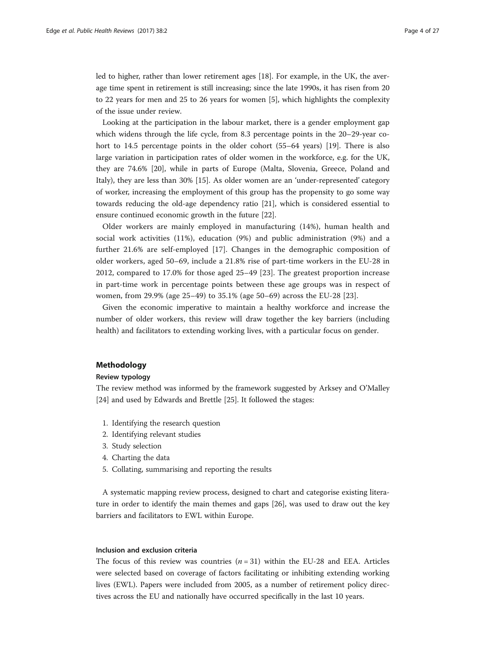led to higher, rather than lower retirement ages [\[18\]](#page-24-0). For example, in the UK, the average time spent in retirement is still increasing; since the late 1990s, it has risen from 20 to 22 years for men and 25 to 26 years for women [\[5](#page-24-0)], which highlights the complexity of the issue under review.

Looking at the participation in the labour market, there is a gender employment gap which widens through the life cycle, from 8.3 percentage points in the 20–29-year cohort to 14.5 percentage points in the older cohort (55–64 years) [[19\]](#page-24-0). There is also large variation in participation rates of older women in the workforce, e.g. for the UK, they are 74.6% [[20](#page-25-0)], while in parts of Europe (Malta, Slovenia, Greece, Poland and Italy), they are less than 30% [[15\]](#page-24-0). As older women are an 'under-represented' category of worker, increasing the employment of this group has the propensity to go some way towards reducing the old-age dependency ratio [[21\]](#page-25-0), which is considered essential to ensure continued economic growth in the future [[22](#page-25-0)].

Older workers are mainly employed in manufacturing (14%), human health and social work activities (11%), education (9%) and public administration (9%) and a further 21.6% are self-employed [[17](#page-24-0)]. Changes in the demographic composition of older workers, aged 50–69, include a 21.8% rise of part-time workers in the EU-28 in 2012, compared to 17.0% for those aged 25–49 [[23\]](#page-25-0). The greatest proportion increase in part-time work in percentage points between these age groups was in respect of women, from 29.9% (age 25–49) to 35.1% (age 50–69) across the EU-28 [[23\]](#page-25-0).

Given the economic imperative to maintain a healthy workforce and increase the number of older workers, this review will draw together the key barriers (including health) and facilitators to extending working lives, with a particular focus on gender.

### Methodology

### Review typology

The review method was informed by the framework suggested by Arksey and O'Malley [[24\]](#page-25-0) and used by Edwards and Brettle [[25](#page-25-0)]. It followed the stages:

- 1. Identifying the research question
- 2. Identifying relevant studies
- 3. Study selection
- 4. Charting the data
- 5. Collating, summarising and reporting the results

A systematic mapping review process, designed to chart and categorise existing literature in order to identify the main themes and gaps [\[26\]](#page-25-0), was used to draw out the key barriers and facilitators to EWL within Europe.

### Inclusion and exclusion criteria

The focus of this review was countries  $(n = 31)$  within the EU-28 and EEA. Articles were selected based on coverage of factors facilitating or inhibiting extending working lives (EWL). Papers were included from 2005, as a number of retirement policy directives across the EU and nationally have occurred specifically in the last 10 years.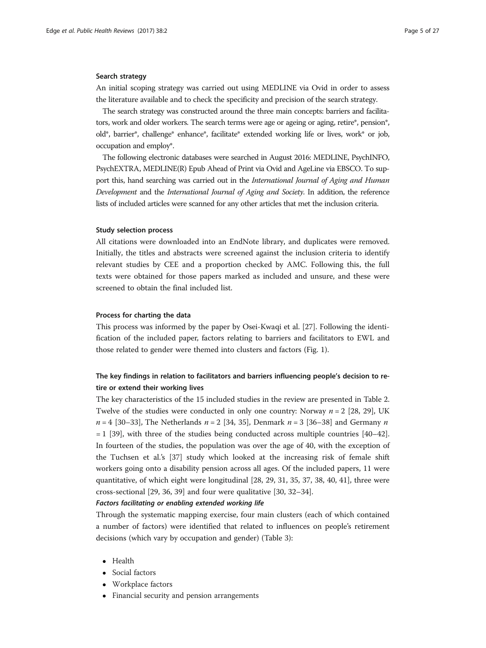### Search strategy

An initial scoping strategy was carried out using MEDLINE via Ovid in order to assess the literature available and to check the specificity and precision of the search strategy.

The search strategy was constructed around the three main concepts: barriers and facilitators, work and older workers. The search terms were age or ageing or aging, retire\*, pension\*, old\*, barrier\*, challenge\* enhance\*, facilitate\* extended working life or lives, work\* or job, occupation and employ\*.

The following electronic databases were searched in August 2016: MEDLINE, PsychINFO, PsychEXTRA, MEDLINE(R) Epub Ahead of Print via Ovid and AgeLine via EBSCO. To support this, hand searching was carried out in the *International Journal of Aging and Human* Development and the International Journal of Aging and Society. In addition, the reference lists of included articles were scanned for any other articles that met the inclusion criteria.

### Study selection process

All citations were downloaded into an EndNote library, and duplicates were removed. Initially, the titles and abstracts were screened against the inclusion criteria to identify relevant studies by CEE and a proportion checked by AMC. Following this, the full texts were obtained for those papers marked as included and unsure, and these were screened to obtain the final included list.

### Process for charting the data

This process was informed by the paper by Osei-Kwaqi et al. [[27\]](#page-25-0). Following the identification of the included paper, factors relating to barriers and facilitators to EWL and those related to gender were themed into clusters and factors (Fig. [1](#page-5-0)).

### The key findings in relation to facilitators and barriers influencing people's decision to retire or extend their working lives

The key characteristics of the 15 included studies in the review are presented in Table [2](#page-6-0). Twelve of the studies were conducted in only one country: Norway  $n = 2$  [[28, 29](#page-25-0)], UK  $n = 4$  [\[30](#page-25-0)–[33\]](#page-25-0), The Netherlands  $n = 2$  [[34, 35](#page-25-0)], Denmark  $n = 3$  [[36](#page-25-0)–[38](#page-25-0)] and Germany n  $= 1$  [\[39\]](#page-25-0), with three of the studies being conducted across multiple countries [[40](#page-25-0)–[42](#page-25-0)]. In fourteen of the studies, the population was over the age of 40, with the exception of the Tuchsen et al.'s [[37](#page-25-0)] study which looked at the increasing risk of female shift workers going onto a disability pension across all ages. Of the included papers, 11 were quantitative, of which eight were longitudinal [[28](#page-25-0), [29, 31, 35, 37, 38, 40, 41\]](#page-25-0), three were cross-sectional [\[29, 36, 39\]](#page-25-0) and four were qualitative [\[30](#page-25-0), [32](#page-25-0)–[34\]](#page-25-0).

### Factors facilitating or enabling extended working life

Through the systematic mapping exercise, four main clusters (each of which contained a number of factors) were identified that related to influences on people's retirement decisions (which vary by occupation and gender) (Table [3\)](#page-8-0):

- Health
- Social factors
- Workplace factors
- Financial security and pension arrangements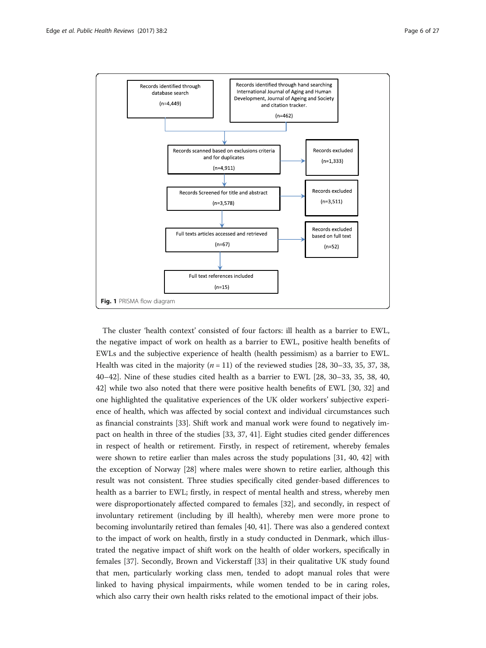<span id="page-5-0"></span>

The cluster 'health context' consisted of four factors: ill health as a barrier to EWL, the negative impact of work on health as a barrier to EWL, positive health benefits of EWLs and the subjective experience of health (health pessimism) as a barrier to EWL. Health was cited in the majority ( $n = 11$ ) of the reviewed studies [\[28](#page-25-0), [30](#page-25-0)–[33](#page-25-0), [35](#page-25-0), [37](#page-25-0), [38](#page-25-0), [40](#page-25-0)–[42](#page-25-0)]. Nine of these studies cited health as a barrier to EWL [\[28](#page-25-0), [30](#page-25-0)–[33, 35](#page-25-0), [38, 40](#page-25-0), [42](#page-25-0)] while two also noted that there were positive health benefits of EWL [\[30](#page-25-0), [32\]](#page-25-0) and one highlighted the qualitative experiences of the UK older workers' subjective experience of health, which was affected by social context and individual circumstances such as financial constraints [\[33](#page-25-0)]. Shift work and manual work were found to negatively impact on health in three of the studies [\[33, 37, 41\]](#page-25-0). Eight studies cited gender differences in respect of health or retirement. Firstly, in respect of retirement, whereby females were shown to retire earlier than males across the study populations [[31, 40](#page-25-0), [42\]](#page-25-0) with the exception of Norway [\[28](#page-25-0)] where males were shown to retire earlier, although this result was not consistent. Three studies specifically cited gender-based differences to health as a barrier to EWL; firstly, in respect of mental health and stress, whereby men were disproportionately affected compared to females [\[32](#page-25-0)], and secondly, in respect of involuntary retirement (including by ill health), whereby men were more prone to becoming involuntarily retired than females [[40, 41\]](#page-25-0). There was also a gendered context to the impact of work on health, firstly in a study conducted in Denmark, which illustrated the negative impact of shift work on the health of older workers, specifically in females [[37\]](#page-25-0). Secondly, Brown and Vickerstaff [[33\]](#page-25-0) in their qualitative UK study found that men, particularly working class men, tended to adopt manual roles that were linked to having physical impairments, while women tended to be in caring roles, which also carry their own health risks related to the emotional impact of their jobs.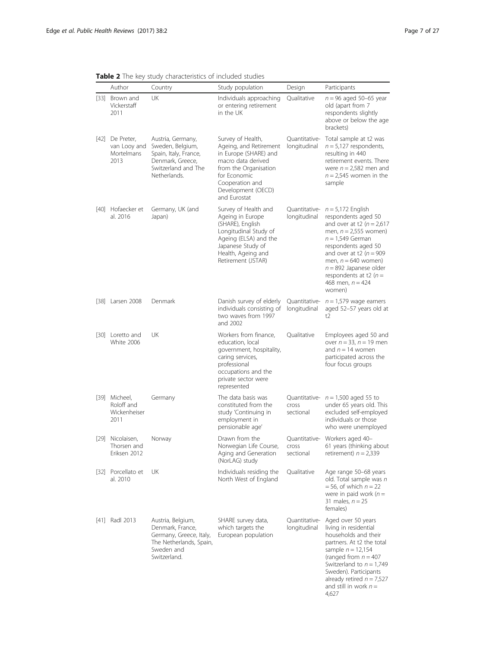|        | Author                                              | Country                                                                                                                   | Study population                                                                                                                                                                             | Design                        | Participants                                                                                                                                                                                                                                                                                                     |
|--------|-----------------------------------------------------|---------------------------------------------------------------------------------------------------------------------------|----------------------------------------------------------------------------------------------------------------------------------------------------------------------------------------------|-------------------------------|------------------------------------------------------------------------------------------------------------------------------------------------------------------------------------------------------------------------------------------------------------------------------------------------------------------|
|        | [33] Brown and<br>Vickerstaff<br>2011               | UK                                                                                                                        | Individuals approaching<br>or entering retirement<br>in the UK                                                                                                                               | Qualitative                   | $n = 96$ aged 50-65 year<br>old (apart from 7<br>respondents slightly<br>above or below the age<br>brackets)                                                                                                                                                                                                     |
| $[42]$ | De Preter,<br>van Looy and<br>Mortelmans<br>2013    | Austria, Germany,<br>Sweden, Belgium,<br>Spain, Italy, France,<br>Denmark, Greece,<br>Switzerland and The<br>Netherlands. | Survey of Health,<br>Ageing, and Retirement<br>in Europe (SHARE) and<br>macro data derived<br>from the Organisation<br>for Fconomic<br>Cooperation and<br>Development (OECD)<br>and Eurostat | Quantitative-<br>longitudinal | Total sample at t2 was<br>$n = 5,127$ respondents,<br>resulting in 440<br>retirement events. There<br>were $n = 2.582$ men and<br>$n = 2,545$ women in the<br>sample                                                                                                                                             |
|        | [40] Hofaecker et<br>al. 2016                       | Germany, UK (and<br>Japan)                                                                                                | Survey of Health and<br>Ageing in Europe<br>(SHARE), English<br>Longitudinal Study of<br>Ageing (ELSA) and the<br>Japanese Study of<br>Health, Ageing and<br>Retirement (JSTAR)              | longitudinal                  | Quantitative- $n = 5,172$ English<br>respondents aged 50<br>and over at t2 ( $n = 2,617$<br>men, $n = 2,555$ women)<br>$n = 1,549$ German<br>respondents aged 50<br>and over at t2 ( $n = 909$<br>men, $n = 640$ women)<br>$n = 892$ Japanese older<br>respondents at t2 ( $n =$<br>468 men, $n = 424$<br>women) |
|        | [38] Larsen 2008                                    | Denmark                                                                                                                   | Danish survey of elderly<br>individuals consisting of<br>two waves from 1997<br>and 2002                                                                                                     | Ouantitative-<br>longitudinal | $n = 1,579$ wage earners<br>aged 52-57 years old at<br>t2                                                                                                                                                                                                                                                        |
|        | [30] Loretto and<br>White 2006                      | UK                                                                                                                        | Workers from finance,<br>education, local<br>government, hospitality,<br>caring services,<br>professional<br>occupations and the<br>private sector were<br>represented                       | Qualitative                   | Employees aged 50 and<br>over $n = 33$ , $n = 19$ men<br>and $n = 14$ women<br>participated across the<br>four focus groups                                                                                                                                                                                      |
|        | [39] Micheel,<br>Roloff and<br>Wickenheiser<br>2011 | Germany                                                                                                                   | The data basis was<br>constituted from the<br>study 'Continuing in<br>employment in<br>pensionable age'                                                                                      | cross<br>sectional            | Quantitative- $n = 1,500$ aged 55 to<br>under 65 years old. This<br>excluded self-employed<br>individuals or those<br>who were unemployed                                                                                                                                                                        |
|        | [29] Nicolaisen,<br>Thorsen and<br>Eriksen 2012     | Norway                                                                                                                    | Drawn from the<br>Norwegian Life Course,<br>Aging and Generation<br>(NorLAG) study                                                                                                           | cross<br>sectional            | Quantitative- Workers aged 40-<br>61 years (thinking about<br>retirement) $n = 2,339$                                                                                                                                                                                                                            |
|        | [32] Porcellato et<br>al. 2010                      | UK                                                                                                                        | Individuals residing the<br>North West of England                                                                                                                                            | Oualitative                   | Age range 50-68 years<br>old. Total sample was n<br>$=$ 56, of which $n = 22$<br>were in paid work ( $n =$<br>31 males, $n = 25$<br>females)                                                                                                                                                                     |
|        | [41] Radl 2013                                      | Austria, Belgium,<br>Denmark, France,<br>Germany, Greece, Italy,<br>The Netherlands, Spain,<br>Sweden and<br>Switzerland. | SHARE survey data,<br>which targets the<br>European population                                                                                                                               | Quantitative-<br>longitudinal | Aged over 50 years<br>living in residential<br>households and their<br>partners. At t2 the total<br>sample $n = 12,154$<br>(ranged from $n = 407$<br>Switzerland to $n = 1,749$<br>Sweden). Participants<br>already retired $n = 7,527$<br>and still in work $n =$<br>4,627                                      |

<span id="page-6-0"></span>Table 2 The key study characteristics of included studies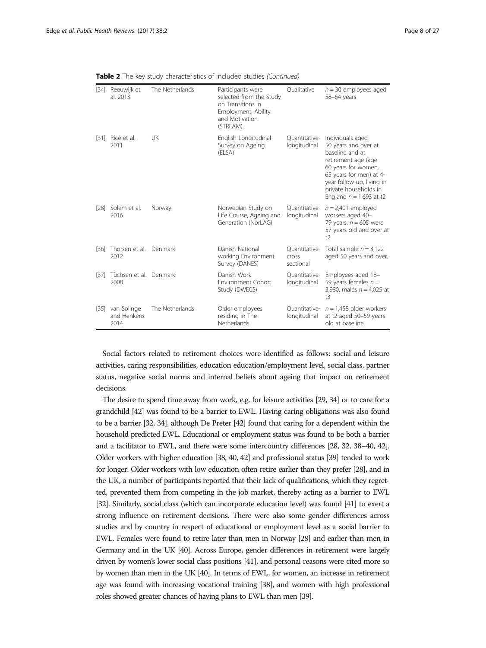| [34]   | Reeuwijk et<br>al. 2013                 | The Netherlands | Participants were<br>selected from the Study<br>on Transitions in<br>Employment, Ability<br>and Motivation<br>(STREAM). | Oualitative                         | $n = 30$ employees aged<br>58-64 years                                                                                                                                                                                  |
|--------|-----------------------------------------|-----------------|-------------------------------------------------------------------------------------------------------------------------|-------------------------------------|-------------------------------------------------------------------------------------------------------------------------------------------------------------------------------------------------------------------------|
| $[31]$ | Rice et al.<br>2011                     | UK              | English Longitudinal<br>Survey on Ageing<br>(ELSA)                                                                      | Ouantitative-<br>longitudinal       | Individuals aged<br>50 years and over at<br>baseline and at<br>retirement age (age<br>60 years for women,<br>65 years for men) at 4-<br>year follow-up, living in<br>private households in<br>England $n = 1,693$ at t2 |
| [28]   | Solem et al.<br>2016                    | Norway          | Norwegian Study on<br>Life Course, Ageing and<br>Generation (NorLAG)                                                    | Quantitative-<br>longitudinal       | $n = 2,401$ employed<br>workers aged 40-<br>79 years. $n = 605$ were<br>57 years old and over at<br>t                                                                                                                   |
| [36]   | Thorsen et al.<br>2012                  | Denmark         | Danish National<br>working Environment<br>Survey (DANES)                                                                | Ouantitative-<br>cross<br>sectional | Total sample $n = 3,122$<br>aged 50 years and over.                                                                                                                                                                     |
| [37]   | Tüchsen et al. Denmark<br>2008          |                 | Danish Work<br><b>Environment Cohort</b><br>Study (DWECS)                                                               | Quantitative-<br>longitudinal       | Employees aged 18-<br>59 years females $n =$<br>3,980, males $n = 4,025$ at<br>t3                                                                                                                                       |
|        | [35] van Solinge<br>and Henkens<br>2014 | The Netherlands | Older employees<br>residing in The<br>Netherlands                                                                       | Ouantitative-<br>longitudinal       | $n = 1,458$ older workers<br>at t2 aged 50-59 years<br>old at baseline.                                                                                                                                                 |

Table 2 The key study characteristics of included studies (Continued)

Social factors related to retirement choices were identified as follows: social and leisure activities, caring responsibilities, education education/employment level, social class, partner status, negative social norms and internal beliefs about ageing that impact on retirement decisions.

The desire to spend time away from work, e.g. for leisure activities [[29](#page-25-0), [34](#page-25-0)] or to care for a grandchild [[42\]](#page-25-0) was found to be a barrier to EWL. Having caring obligations was also found to be a barrier [\[32, 34\]](#page-25-0), although De Preter [\[42](#page-25-0)] found that caring for a dependent within the household predicted EWL. Educational or employment status was found to be both a barrier and a facilitator to EWL, and there were some intercountry differences [\[28, 32](#page-25-0), [38](#page-25-0)–[40, 42\]](#page-25-0). Older workers with higher education [[38, 40, 42\]](#page-25-0) and professional status [\[39](#page-25-0)] tended to work for longer. Older workers with low education often retire earlier than they prefer [\[28](#page-25-0)], and in the UK, a number of participants reported that their lack of qualifications, which they regretted, prevented them from competing in the job market, thereby acting as a barrier to EWL [[32\]](#page-25-0). Similarly, social class (which can incorporate education level) was found [\[41](#page-25-0)] to exert a strong influence on retirement decisions. There were also some gender differences across studies and by country in respect of educational or employment level as a social barrier to EWL. Females were found to retire later than men in Norway [[28\]](#page-25-0) and earlier than men in Germany and in the UK [\[40](#page-25-0)]. Across Europe, gender differences in retirement were largely driven by women's lower social class positions [\[41](#page-25-0)], and personal reasons were cited more so by women than men in the UK [\[40\]](#page-25-0). In terms of EWL, for women, an increase in retirement age was found with increasing vocational training [[38](#page-25-0)], and women with high professional roles showed greater chances of having plans to EWL than men [\[39](#page-25-0)].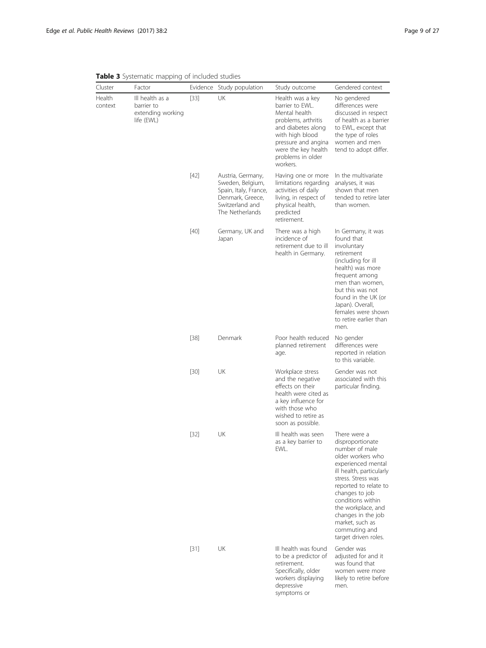| Cluster           | Factor                                                           |                                                                                                                                                                       | Evidence Study population                                                                                                | Study outcome                                                                                                                                                                                       | Gendered context                                                                                                                                                                                                                                                                                                        |
|-------------------|------------------------------------------------------------------|-----------------------------------------------------------------------------------------------------------------------------------------------------------------------|--------------------------------------------------------------------------------------------------------------------------|-----------------------------------------------------------------------------------------------------------------------------------------------------------------------------------------------------|-------------------------------------------------------------------------------------------------------------------------------------------------------------------------------------------------------------------------------------------------------------------------------------------------------------------------|
| Health<br>context | III health as a<br>barrier to<br>extending working<br>life (EWL) | $[33]$                                                                                                                                                                | UK                                                                                                                       | Health was a key<br>barrier to EWL.<br>Mental health<br>problems, arthritis<br>and diabetes along<br>with high blood<br>pressure and angina<br>were the key health<br>problems in older<br>workers. | No gendered<br>differences were<br>discussed in respect<br>of health as a barrier<br>to EWL, except that<br>the type of roles<br>women and men<br>tend to adopt differ.                                                                                                                                                 |
|                   |                                                                  | $[42]$                                                                                                                                                                | Austria, Germany,<br>Sweden, Belgium,<br>Spain, Italy, France,<br>Denmark, Greece,<br>Switzerland and<br>The Netherlands | Having one or more<br>limitations regarding<br>activities of daily<br>living, in respect of<br>physical health,<br>predicted<br>retirement.                                                         | In the multivariate<br>analyses, it was<br>shown that men<br>tended to retire later<br>than women.                                                                                                                                                                                                                      |
|                   |                                                                  | $[40]$                                                                                                                                                                | Germany, UK and<br>Japan                                                                                                 | There was a high<br>incidence of<br>retirement due to ill<br>health in Germany.                                                                                                                     | In Germany, it was<br>found that<br>involuntary<br>retirement<br>(including for ill<br>health) was more<br>frequent among<br>men than women,<br>but this was not<br>found in the UK (or<br>Japan). Overall,<br>females were shown<br>to retire earlier than<br>men.                                                     |
|                   |                                                                  | $[38]$                                                                                                                                                                | Denmark                                                                                                                  | Poor health reduced<br>planned retirement<br>age.                                                                                                                                                   | No gender<br>differences were<br>reported in relation<br>to this variable.                                                                                                                                                                                                                                              |
|                   | UK<br>$[30]$                                                     | Workplace stress<br>and the negative<br>effects on their<br>health were cited as<br>a key influence for<br>with those who<br>wished to retire as<br>soon as possible. | Gender was not<br>associated with this<br>particular finding.                                                            |                                                                                                                                                                                                     |                                                                                                                                                                                                                                                                                                                         |
|                   |                                                                  | $[32]$                                                                                                                                                                | UK                                                                                                                       | Ill health was seen<br>as a key barrier to<br>EWL.                                                                                                                                                  | There were a<br>disproportionate<br>number of male<br>older workers who<br>experienced mental<br>ill health, particularly<br>stress. Stress was<br>reported to relate to<br>changes to job<br>conditions within<br>the workplace, and<br>changes in the job<br>market, such as<br>commuting and<br>target driven roles. |
|                   |                                                                  | $[31]$                                                                                                                                                                | UK                                                                                                                       | Ill health was found<br>to be a predictor of<br>retirement.<br>Specifically, older<br>workers displaying<br>depressive<br>symptoms or                                                               | Gender was<br>adjusted for and it<br>was found that<br>women were more<br>likely to retire before<br>men.                                                                                                                                                                                                               |

<span id="page-8-0"></span>Table 3 Systematic mapping of included studies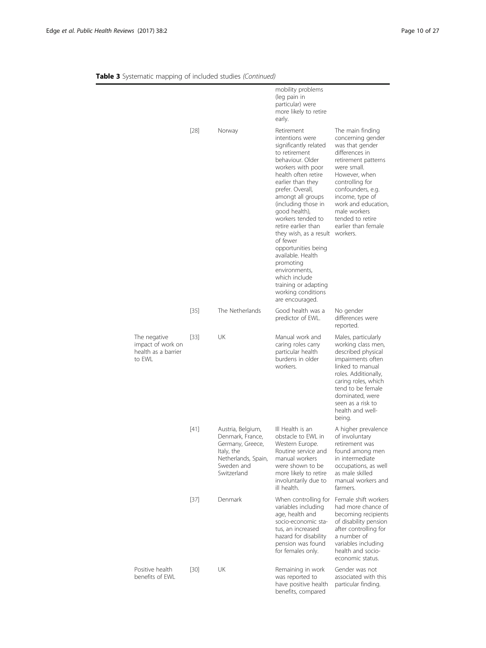|  | Table 3 Systematic mapping of included studies (Continued) |  |  |  |
|--|------------------------------------------------------------|--|--|--|
|  |                                                            |  |  |  |

|                                                                    |        |                                                                                                                             | mobility problems<br>(leg pain in<br>particular) were<br>more likely to retire<br>early.                                                                                                                                                                                                                                                                                                                                                                                                    |                                                                                                                                                                                                                                                                                            |
|--------------------------------------------------------------------|--------|-----------------------------------------------------------------------------------------------------------------------------|---------------------------------------------------------------------------------------------------------------------------------------------------------------------------------------------------------------------------------------------------------------------------------------------------------------------------------------------------------------------------------------------------------------------------------------------------------------------------------------------|--------------------------------------------------------------------------------------------------------------------------------------------------------------------------------------------------------------------------------------------------------------------------------------------|
|                                                                    | $[28]$ | Norway                                                                                                                      | Retirement<br>intentions were<br>significantly related<br>to retirement<br>behaviour. Older<br>workers with poor<br>health often retire<br>earlier than they<br>prefer. Overall,<br>amongt all groups<br>(including those in<br>good health),<br>workers tended to<br>retire earlier than<br>they wish, as a result<br>of fewer<br>opportunities being<br>available. Health<br>promoting<br>environments,<br>which include<br>training or adapting<br>working conditions<br>are encouraged. | The main finding<br>concerning gender<br>was that gender<br>differences in<br>retirement patterns<br>were small.<br>However, when<br>controlling for<br>confounders, e.g.<br>income, type of<br>work and education,<br>male workers<br>tended to retire<br>earlier than female<br>workers. |
|                                                                    | $[35]$ | The Netherlands                                                                                                             | Good health was a<br>predictor of EWL.                                                                                                                                                                                                                                                                                                                                                                                                                                                      | No gender<br>differences were<br>reported.                                                                                                                                                                                                                                                 |
| The negative<br>impact of work on<br>health as a barrier<br>to EWL | $[33]$ | UK                                                                                                                          | Manual work and<br>caring roles carry<br>particular health<br>burdens in older<br>workers.                                                                                                                                                                                                                                                                                                                                                                                                  | Males, particularly<br>working class men,<br>described physical<br>impairments often<br>linked to manual<br>roles. Additionally,<br>caring roles, which<br>tend to be female<br>dominated, were<br>seen as a risk to<br>health and well-<br>being.                                         |
|                                                                    | $[41]$ | Austria, Belgium,<br>Denmark, France,<br>Germany, Greece,<br>Italy, the<br>Netherlands, Spain,<br>Sweden and<br>Switzerland | III Health is an<br>obstacle to EWL in<br>Western Europe.<br>Routine service and<br>manual workers<br>were shown to be<br>more likely to retire<br>involuntarily due to<br>ill health.                                                                                                                                                                                                                                                                                                      | A higher prevalence<br>of involuntary<br>retirement was<br>found among men<br>in intermediate<br>occupations, as well<br>as male skilled<br>manual workers and<br>farmers.                                                                                                                 |
|                                                                    | [37]   | Denmark                                                                                                                     | When controlling for<br>variables including<br>age, health and<br>socio-economic sta-<br>tus, an increased<br>hazard for disability<br>pension was found<br>for females only.                                                                                                                                                                                                                                                                                                               | Female shift workers<br>had more chance of<br>becoming recipients<br>of disability pension<br>after controlling for<br>a number of<br>variables including<br>health and socio-<br>economic status.                                                                                         |
| Positive health<br>benefits of EWL                                 | [30]   | UK                                                                                                                          | Remaining in work<br>was reported to<br>have positive health<br>benefits, compared                                                                                                                                                                                                                                                                                                                                                                                                          | Gender was not<br>associated with this<br>particular finding.                                                                                                                                                                                                                              |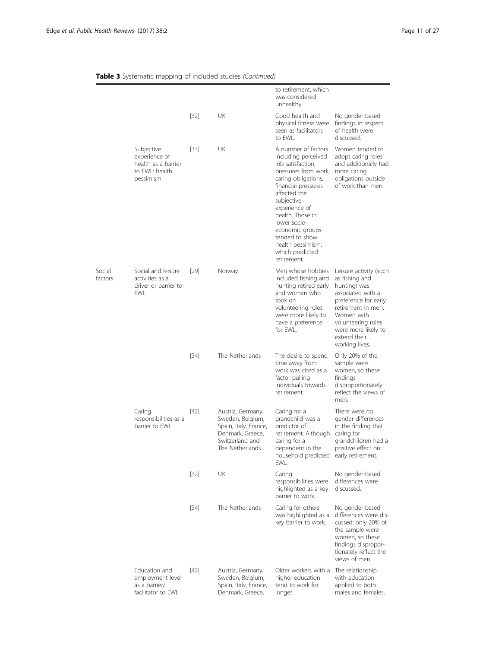|                   |                                                                                   |        |                                                                                                                           | to retirement, which<br>was considered<br>unhealthy                                                                                                                                                                                                                                                                  |                                                                                                                                                                                                                          |
|-------------------|-----------------------------------------------------------------------------------|--------|---------------------------------------------------------------------------------------------------------------------------|----------------------------------------------------------------------------------------------------------------------------------------------------------------------------------------------------------------------------------------------------------------------------------------------------------------------|--------------------------------------------------------------------------------------------------------------------------------------------------------------------------------------------------------------------------|
|                   |                                                                                   | $[32]$ | UK                                                                                                                        | Good health and<br>physical fitness were<br>seen as facilitators<br>to FWI.                                                                                                                                                                                                                                          | No gender-based<br>findings in respect<br>of health were<br>discussed.                                                                                                                                                   |
|                   | Subjective<br>experience of<br>health as a barrier<br>to EWL: health<br>pessimism | $[33]$ | UK                                                                                                                        | A number of factors<br>including perceived<br>job satisfaction,<br>pressures from work,<br>caring obligations,<br>financial pressures<br>affected the<br>subjective<br>experience of<br>health. Those in<br>lower socio-<br>economic groups<br>tended to show<br>health pessimism,<br>which predicted<br>retirement. | Women tended to<br>adopt caring roles<br>and additionally had<br>more caring<br>obligations outside<br>of work than men.                                                                                                 |
| Social<br>factors | Social and leisure<br>activities as a<br>driver or barrier to<br>EWL              | $[29]$ | Norway                                                                                                                    | Men whose hobbies<br>included fishing and<br>hunting retired early<br>and women who<br>took on<br>volunteering roles<br>were more likely to<br>have a preference<br>for EWL.                                                                                                                                         | Leisure activity (such<br>as fishing and<br>hunting) was<br>associated with a<br>preference for early<br>retirement in men.<br>Women with<br>volunteering roles<br>were more likely to<br>extend their<br>working lives. |
|                   |                                                                                   | $[34]$ | The Netherlands                                                                                                           | The desire to spend<br>time away from<br>work was cited as a<br>factor pulling<br>individuals towards<br>retirement.                                                                                                                                                                                                 | Only 20% of the<br>sample were<br>women, so these<br>findings<br>disproportionately<br>reflect the views of<br>men.                                                                                                      |
|                   | Caring<br>responsibilities as a<br>barrier to EWL                                 | $[42]$ | Austria, Germany,<br>Sweden, Belgium,<br>Spain, Italy, France,<br>Denmark, Greece,<br>Switzerland and<br>The Netherlands. | Caring for a<br>grandchild was a<br>predictor of<br>retirement. Although<br>caring for a<br>dependent in the<br>household predicted<br>EWL.                                                                                                                                                                          | There were no<br>gender differences<br>in the finding that<br>caring for<br>grandchildren had a<br>positive effect on<br>early retirement.                                                                               |
|                   |                                                                                   | $[32]$ | UK                                                                                                                        | Caring<br>responsibilities were<br>highlighted as a key<br>barrier to work.                                                                                                                                                                                                                                          | No gender-based<br>differences were<br>discussed.                                                                                                                                                                        |
|                   |                                                                                   | $[34]$ | The Netherlands                                                                                                           | Caring for others<br>was highlighted as a<br>key barrier to work.                                                                                                                                                                                                                                                    | No gender-based<br>differences were dis-<br>cussed: only 20% of<br>the sample were<br>women, so these<br>findings dispropor-<br>tionately reflect the<br>views of men.                                                   |
|                   | Education and<br>employment level<br>as a barrier/<br>facilitator to EWL          | $[42]$ | Austria, Germany,<br>Sweden, Belgium,<br>Spain, Italy, France,<br>Denmark, Greece,                                        | Older workers with a<br>higher education<br>tend to work for<br>longer.                                                                                                                                                                                                                                              | The relationship<br>with education<br>applied to both<br>males and females,                                                                                                                                              |

### Table 3 Systematic mapping of included studies (Continued)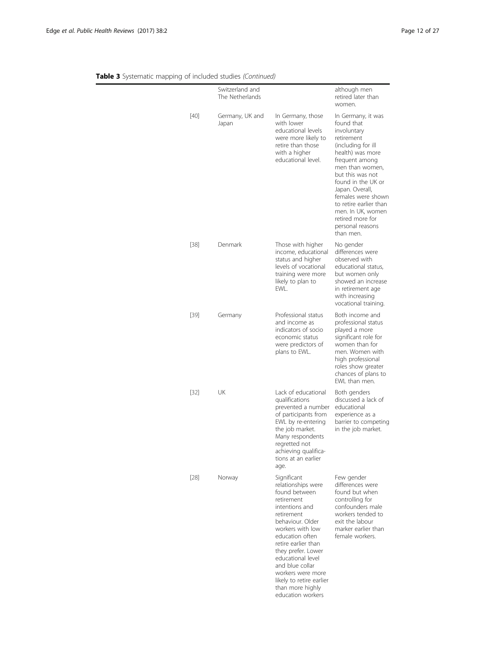|  |  |  | Table 3 Systematic mapping of included studies (Continued) |  |  |
|--|--|--|------------------------------------------------------------|--|--|
|--|--|--|------------------------------------------------------------|--|--|

|        | Switzerland and<br>The Netherlands |                                                                                                                                                                                                                                                                                                                                            | although men<br>retired later than<br>women.                                                                                                                                                                                                                                                                                        |
|--------|------------------------------------|--------------------------------------------------------------------------------------------------------------------------------------------------------------------------------------------------------------------------------------------------------------------------------------------------------------------------------------------|-------------------------------------------------------------------------------------------------------------------------------------------------------------------------------------------------------------------------------------------------------------------------------------------------------------------------------------|
| $[40]$ | Germany, UK and<br>Japan           | In Germany, those<br>with lower<br>educational levels<br>were more likely to<br>retire than those<br>with a higher<br>educational level.                                                                                                                                                                                                   | In Germany, it was<br>found that<br>involuntary<br>retirement<br>(including for ill<br>health) was more<br>frequent among<br>men than women,<br>but this was not<br>found in the UK or<br>Japan. Overall,<br>females were shown<br>to retire earlier than<br>men. In UK, women<br>retired more for<br>personal reasons<br>than men. |
| $[38]$ | Denmark                            | Those with higher<br>income, educational<br>status and higher<br>levels of vocational<br>training were more<br>likely to plan to<br>EWL.                                                                                                                                                                                                   | No gender<br>differences were<br>observed with<br>educational status,<br>but women only<br>showed an increase<br>in retirement age<br>with increasing<br>vocational training.                                                                                                                                                       |
| [39]   | Germany                            | Professional status<br>and income as<br>indicators of socio<br>economic status<br>were predictors of<br>plans to EWL.                                                                                                                                                                                                                      | Both income and<br>professional status<br>played a more<br>significant role for<br>women than for<br>men. Women with<br>high professional<br>roles show greater<br>chances of plans to<br>EWL than men.                                                                                                                             |
| $[32]$ | UK                                 | Lack of educational<br>qualifications<br>prevented a number<br>of participants from<br>EWL by re-entering<br>the job market.<br>Many respondents<br>regretted not<br>achieving qualifica-<br>tions at an earlier<br>age.                                                                                                                   | Both genders<br>discussed a lack of<br>educational<br>experience as a<br>barrier to competing<br>in the job market.                                                                                                                                                                                                                 |
| $[28]$ | Norway                             | Significant<br>relationships were<br>found between<br>retirement<br>intentions and<br>retirement<br>behaviour. Older<br>workers with low<br>education often<br>retire earlier than<br>they prefer. Lower<br>educational level<br>and blue collar<br>workers were more<br>likely to retire earlier<br>than more highly<br>education workers | Few gender<br>differences were<br>found but when<br>controlling for<br>confounders male<br>workers tended to<br>exit the labour<br>marker earlier than<br>female workers.                                                                                                                                                           |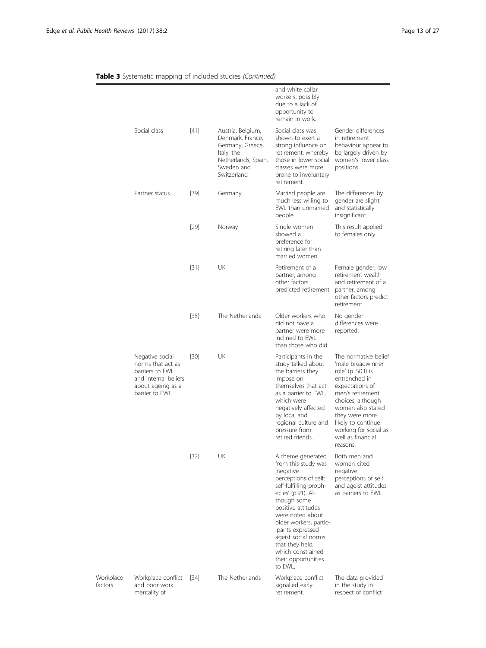### Table 3 Systematic mapping of included studies (Continued)

|                      |                                                                                                                        |        |                                                                                                                             | and white collar<br>workers, possibly<br>due to a lack of<br>opportunity to<br>remain in work.                                                                                                                                                                                                                                        |                                                                                                                                                                                                                                                                    |
|----------------------|------------------------------------------------------------------------------------------------------------------------|--------|-----------------------------------------------------------------------------------------------------------------------------|---------------------------------------------------------------------------------------------------------------------------------------------------------------------------------------------------------------------------------------------------------------------------------------------------------------------------------------|--------------------------------------------------------------------------------------------------------------------------------------------------------------------------------------------------------------------------------------------------------------------|
|                      | Social class                                                                                                           | $[41]$ | Austria, Belgium,<br>Denmark, France,<br>Germany, Greece,<br>Italy, the<br>Netherlands, Spain,<br>Sweden and<br>Switzerland | Social class was<br>shown to exert a<br>strong influence on<br>retirement, whereby<br>those in lower social<br>classes were more<br>prone to involuntary<br>retirement.                                                                                                                                                               | Gender differences<br>in retirement<br>behaviour appear to<br>be largely driven by<br>women's lower class<br>positions.                                                                                                                                            |
|                      | Partner status                                                                                                         | $[39]$ | Germany                                                                                                                     | Married people are<br>much less willing to<br>EWL than unmarried<br>people.                                                                                                                                                                                                                                                           | The differences by<br>gender are slight<br>and statistically<br>insignificant.                                                                                                                                                                                     |
|                      |                                                                                                                        | $[29]$ | Norway                                                                                                                      | Single women<br>showed a<br>preference for<br>retiring later than<br>married women.                                                                                                                                                                                                                                                   | This result applied<br>to females only.                                                                                                                                                                                                                            |
|                      |                                                                                                                        | [31]   | UK                                                                                                                          | Retirement of a<br>partner, among<br>other factors<br>predicted retirement                                                                                                                                                                                                                                                            | Female gender, low<br>retirement wealth<br>and retirement of a<br>partner, among<br>other factors predict<br>retirement.                                                                                                                                           |
|                      |                                                                                                                        | $[35]$ | The Netherlands                                                                                                             | Older workers who<br>did not have a<br>partner were more<br>inclined to EWL<br>than those who did.                                                                                                                                                                                                                                    | No gender<br>differences were<br>reported.                                                                                                                                                                                                                         |
|                      | Negative social<br>norms that act as<br>barriers to EWL<br>and internal beliefs<br>about ageing as a<br>barrier to EWL | $[30]$ | UK                                                                                                                          | Participants in the<br>study talked about<br>the barriers they<br>impose on<br>themselves that act<br>as a barrier to EWL,<br>which were<br>negatively affected<br>by local and<br>regional culture and<br>pressure from<br>retired friends.                                                                                          | The normative belief<br>'male breadwinner<br>role' (p. 503) is<br>entrenched in<br>expectations of<br>men's retirement<br>choices, although<br>women also stated<br>they were more<br>likely to continue<br>working for social as<br>well as financial<br>reasons. |
|                      |                                                                                                                        | $[32]$ | UK                                                                                                                          | A theme generated<br>from this study was<br>'negative<br>perceptions of self:<br>self-fulfilling proph-<br>ecies' (p.91). Al-<br>though some<br>positive attitudes<br>were noted about<br>older workers, partic-<br>ipants expressed<br>ageist social norms<br>that they held,<br>which constrained<br>their opportunities<br>to EWL. | Both men and<br>women cited<br>negative<br>perceptions of self<br>and ageist attitudes<br>as barriers to FWL.                                                                                                                                                      |
| Workplace<br>factors | Workplace conflict<br>and poor work<br>mentality of                                                                    | $[34]$ | The Netherlands                                                                                                             | Workplace conflict<br>signalled early<br>retirement.                                                                                                                                                                                                                                                                                  | The data provided<br>in the study in<br>respect of conflict                                                                                                                                                                                                        |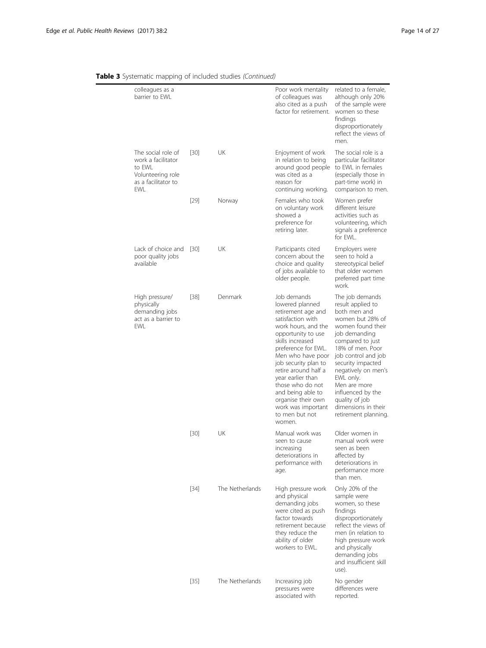| colleagues as a<br>barrier to EWL                                                                            |        |                 | Poor work mentality<br>of colleagues was<br>also cited as a push<br>factor for retirement.                                                                                                                                                                                                                                                                                   | related to a female,<br>although only 20%<br>of the sample were<br>women so these<br>findings<br>disproportionately<br>reflect the views of<br>men.                                                                                                                                                                                          |
|--------------------------------------------------------------------------------------------------------------|--------|-----------------|------------------------------------------------------------------------------------------------------------------------------------------------------------------------------------------------------------------------------------------------------------------------------------------------------------------------------------------------------------------------------|----------------------------------------------------------------------------------------------------------------------------------------------------------------------------------------------------------------------------------------------------------------------------------------------------------------------------------------------|
| The social role of<br>work a facilitator<br>to FWI<br>Volunteering role<br>as a facilitator to<br><b>EWL</b> | $[30]$ | UK              | Enjoyment of work<br>in relation to being<br>around good people<br>was cited as a<br>reason for<br>continuing working.                                                                                                                                                                                                                                                       | The social role is a<br>particular facilitator<br>to EWL in females<br>(especially those in<br>part-time work) in<br>comparison to men.                                                                                                                                                                                                      |
|                                                                                                              | $[29]$ | Norway          | Females who took<br>on voluntary work<br>showed a<br>preference for<br>retiring later.                                                                                                                                                                                                                                                                                       | Women prefer<br>different leisure<br>activities such as<br>volunteering, which<br>signals a preference<br>for FWI.                                                                                                                                                                                                                           |
| Lack of choice and<br>poor quality jobs<br>available                                                         | $[30]$ | UK              | Participants cited<br>concern about the<br>choice and quality<br>of jobs available to<br>older people.                                                                                                                                                                                                                                                                       | Employers were<br>seen to hold a<br>stereotypical belief<br>that older women<br>preferred part time<br>work.                                                                                                                                                                                                                                 |
| High pressure/<br>physically<br>demanding jobs<br>act as a barrier to<br><b>FWI</b>                          | [38]   | Denmark         | Job demands<br>lowered planned<br>retirement age and<br>satisfaction with<br>work hours, and the<br>opportunity to use<br>skills increased<br>preference for EWL.<br>Men who have poor<br>job security plan to<br>retire around half a<br>year earlier than<br>those who do not<br>and being able to<br>organise their own<br>work was important<br>to men but not<br>women. | The job demands<br>result applied to<br>both men and<br>women but 28% of<br>women found their<br>job demanding<br>compared to just<br>18% of men. Poor<br>job control and job<br>security impacted<br>negatively on men's<br>EWL only.<br>Men are more<br>influenced by the<br>quality of job<br>dimensions in their<br>retirement planning. |
|                                                                                                              | [30]   | UK              | Manual work was<br>seen to cause<br>increasing<br>deteriorations in<br>performance with<br>age.                                                                                                                                                                                                                                                                              | Older women in<br>manual work were<br>seen as been<br>affected by<br>deteriorations in<br>performance more<br>than men.                                                                                                                                                                                                                      |
|                                                                                                              | $[34]$ | The Netherlands | High pressure work<br>and physical<br>demanding jobs<br>were cited as push<br>factor towards<br>retirement because<br>they reduce the<br>ability of older<br>workers to EWL.                                                                                                                                                                                                 | Only 20% of the<br>sample were<br>women, so these<br>findings<br>disproportionately<br>reflect the views of<br>men (in relation to<br>high pressure work<br>and physically<br>demanding jobs<br>and insufficient skill<br>use).                                                                                                              |
|                                                                                                              | $[35]$ | The Netherlands | Increasing job<br>pressures were<br>associated with                                                                                                                                                                                                                                                                                                                          | No gender<br>differences were<br>reported.                                                                                                                                                                                                                                                                                                   |

Table 3 Systematic mapping of included studies (Continued)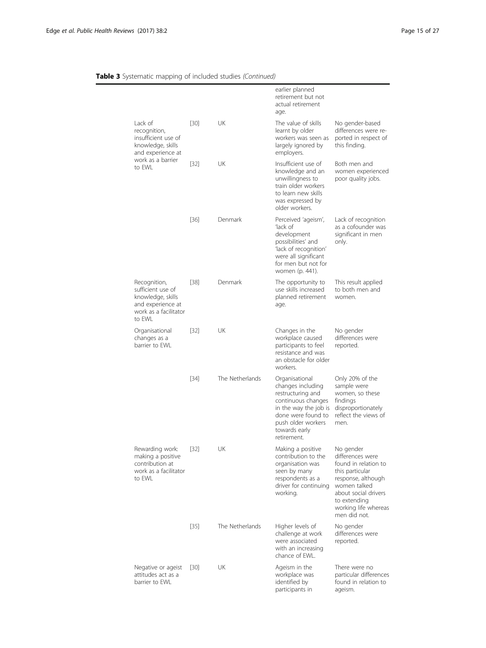|                                                                                                                |        |                 | earlier planned<br>retirement but not<br>actual retirement<br>age.                                                                                                                  |                                                                                                                                                                                                |
|----------------------------------------------------------------------------------------------------------------|--------|-----------------|-------------------------------------------------------------------------------------------------------------------------------------------------------------------------------------|------------------------------------------------------------------------------------------------------------------------------------------------------------------------------------------------|
| Lack of<br>recognition,<br>insufficient use of<br>knowledge, skills<br>and experience at                       | $[30]$ | UK              | The value of skills<br>learnt by older<br>workers was seen as<br>largely ignored by<br>employers.                                                                                   | No gender-based<br>differences were re-<br>ported in respect of<br>this finding.                                                                                                               |
| work as a barrier<br>to EWL                                                                                    | $[32]$ | UK              | Insufficient use of<br>knowledge and an<br>unwillingness to<br>train older workers<br>to learn new skills<br>was expressed by<br>older workers.                                     | Both men and<br>women experienced<br>poor quality jobs.                                                                                                                                        |
|                                                                                                                | $[36]$ | Denmark         | Perceived 'ageism',<br>'lack of<br>development<br>possibilities' and<br>'lack of recognition'<br>were all significant<br>for men but not for<br>women (p. 441).                     | Lack of recognition<br>as a cofounder was<br>significant in men<br>only.                                                                                                                       |
| Recognition,<br>sufficient use of<br>knowledge, skills<br>and experience at<br>work as a facilitator<br>to EWL | $[38]$ | Denmark         | The opportunity to<br>use skills increased<br>planned retirement<br>age.                                                                                                            | This result applied<br>to both men and<br>women.                                                                                                                                               |
| Organisational<br>changes as a<br>barrier to EWL                                                               | $[32]$ | UK              | Changes in the<br>workplace caused<br>participants to feel<br>resistance and was<br>an obstacle for older<br>workers.                                                               | No gender<br>differences were<br>reported.                                                                                                                                                     |
|                                                                                                                | $[34]$ | The Netherlands | Organisational<br>changes including<br>restructuring and<br>continuous changes<br>in the way the job is<br>done were found to<br>push older workers<br>towards early<br>retirement. | Only 20% of the<br>sample were<br>women, so these<br>findings<br>disproportionately<br>reflect the views of<br>men.                                                                            |
| Rewarding work:<br>making a positive<br>contribution at<br>work as a facilitator<br>to EWL                     | $[32]$ | UK              | Making a positive<br>contribution to the<br>organisation was<br>seen by many<br>respondents as a<br>driver for continuing<br>working.                                               | No gender<br>differences were<br>found in relation to<br>this particular<br>response, although<br>women talked<br>about social drivers<br>to extending<br>working life whereas<br>men did not. |
|                                                                                                                | $[35]$ | The Netherlands | Higher levels of<br>challenge at work<br>were associated<br>with an increasing<br>chance of EWL.                                                                                    | No gender<br>differences were<br>reported.                                                                                                                                                     |
| Negative or ageist<br>attitudes act as a<br>barrier to EWL                                                     | $[30]$ | UK              | Ageism in the<br>workplace was<br>identified by<br>participants in                                                                                                                  | There were no<br>particular differences<br>found in relation to<br>ageism.                                                                                                                     |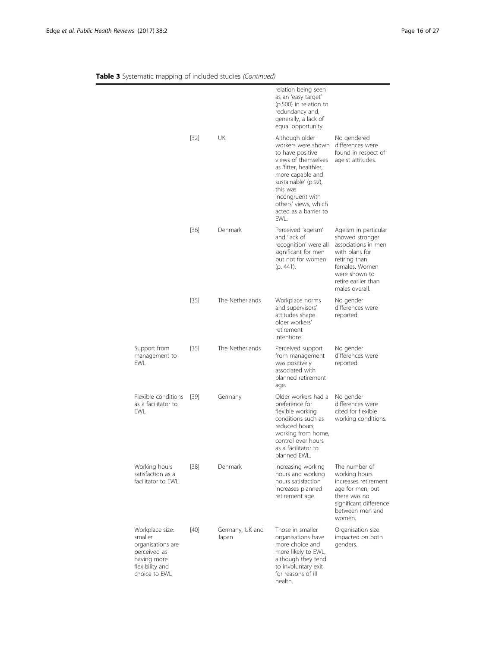|  |  | Table 3 Systematic mapping of included studies (Continued) |  |  |  |  |  |
|--|--|------------------------------------------------------------|--|--|--|--|--|
|--|--|------------------------------------------------------------|--|--|--|--|--|

|                                                                                                                    |        |                          | relation being seen<br>as an 'easy target'<br>(p.500) in relation to<br>redundancy and,<br>generally, a lack of<br>equal opportunity.                                                                                                          |                                                                                                                                                                               |
|--------------------------------------------------------------------------------------------------------------------|--------|--------------------------|------------------------------------------------------------------------------------------------------------------------------------------------------------------------------------------------------------------------------------------------|-------------------------------------------------------------------------------------------------------------------------------------------------------------------------------|
|                                                                                                                    | $[32]$ | UK                       | Although older<br>workers were shown<br>to have positive<br>views of themselves<br>as 'fitter, healthier,<br>more capable and<br>sustainable' (p.92),<br>this was<br>incongruent with<br>others' views, which<br>acted as a barrier to<br>EWL. | No gendered<br>differences were<br>found in respect of<br>ageist attitudes.                                                                                                   |
|                                                                                                                    | [36]   | Denmark                  | Perceived 'ageism'<br>and 'lack of<br>recognition' were all<br>significant for men<br>but not for women<br>$(p. 441)$ .                                                                                                                        | Ageism in particular<br>showed stronger<br>associations in men<br>with plans for<br>retiring than<br>females. Women<br>were shown to<br>retire earlier than<br>males overall. |
|                                                                                                                    | $[35]$ | The Netherlands          | Workplace norms<br>and supervisors'<br>attitudes shape<br>older workers'<br>retirement<br>intentions.                                                                                                                                          | No gender<br>differences were<br>reported.                                                                                                                                    |
| Support from<br>management to<br><b>EWL</b>                                                                        | $[35]$ | The Netherlands          | Perceived support<br>from management<br>was positively<br>associated with<br>planned retirement<br>age.                                                                                                                                        | No gender<br>differences were<br>reported.                                                                                                                                    |
| Flexible conditions<br>as a facilitator to<br>EWL                                                                  | [39]   | Germany                  | Older workers had a<br>preference for<br>flexible working<br>conditions such as<br>reduced hours,<br>working from home,<br>control over hours<br>as a facilitator to<br>planned EWL.                                                           | No gender<br>differences were<br>cited for flexible<br>working conditions.                                                                                                    |
| Working hours<br>satisfaction as a<br>facilitator to EWL                                                           | $[38]$ | Denmark                  | Increasing working<br>hours and working<br>hours satisfaction<br>increases planned<br>retirement age.                                                                                                                                          | The number of<br>working hours<br>increases retirement<br>age for men, but<br>there was no<br>significant difference<br>between men and<br>women.                             |
| Workplace size:<br>smaller<br>organisations are<br>perceived as<br>having more<br>flexibility and<br>choice to EWL | $[40]$ | Germany, UK and<br>Japan | Those in smaller<br>organisations have<br>more choice and<br>more likely to EWL,<br>although they tend<br>to involuntary exit<br>for reasons of ill<br>health.                                                                                 | Organisation size<br>impacted on both<br>genders.                                                                                                                             |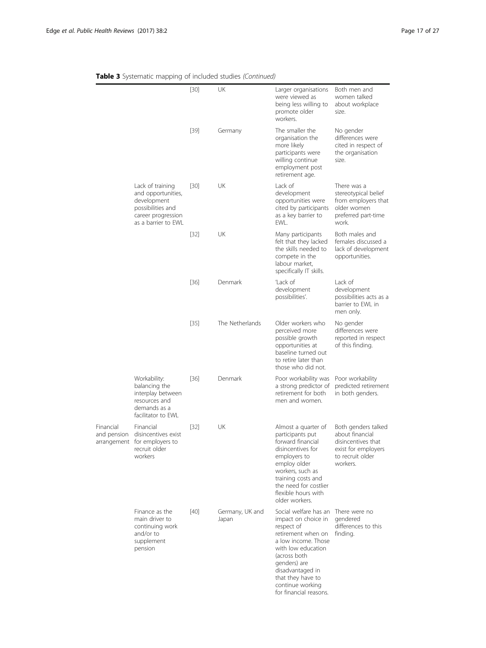|                          |                                                                                                                         | $[30]$ | UK                       | Larger organisations<br>were viewed as<br>being less willing to<br>promote older<br>workers.                                                                                                                                                         | Both men and<br>women talked<br>about workplace<br>size.                                                            |
|--------------------------|-------------------------------------------------------------------------------------------------------------------------|--------|--------------------------|------------------------------------------------------------------------------------------------------------------------------------------------------------------------------------------------------------------------------------------------------|---------------------------------------------------------------------------------------------------------------------|
|                          |                                                                                                                         | [39]   | Germany                  | The smaller the<br>organisation the<br>more likely<br>participants were<br>willing continue<br>employment post<br>retirement age.                                                                                                                    | No gender<br>differences were<br>cited in respect of<br>the organisation<br>size.                                   |
|                          | Lack of training<br>and opportunities,<br>development<br>possibilities and<br>career progression<br>as a barrier to EWL | [30]   | UK                       | Lack of<br>development<br>opportunities were<br>cited by participants<br>as a key barrier to<br>FWI.                                                                                                                                                 | There was a<br>stereotypical belief<br>from employers that<br>older women<br>preferred part-time<br>work.           |
|                          |                                                                                                                         | $[32]$ | UK                       | Many participants<br>felt that they lacked<br>the skills needed to<br>compete in the<br>labour market,<br>specifically IT skills.                                                                                                                    | Both males and<br>females discussed a<br>lack of development<br>opportunities.                                      |
|                          |                                                                                                                         | $[36]$ | Denmark                  | 'Lack of<br>development<br>possibilities'.                                                                                                                                                                                                           | Lack of<br>development<br>possibilities acts as a<br>barrier to EWL in<br>men only.                                 |
|                          |                                                                                                                         | $[35]$ | The Netherlands          | Older workers who<br>perceived more<br>possible growth<br>opportunities at<br>baseline turned out<br>to retire later than<br>those who did not.                                                                                                      | No gender<br>differences were<br>reported in respect<br>of this finding.                                            |
|                          | Workability:<br>balancing the<br>interplay between<br>resources and<br>demands as a<br>facilitator to EWL               | $[36]$ | Denmark                  | Poor workability was<br>a strong predictor of<br>retirement for both<br>men and women.                                                                                                                                                               | Poor workability<br>predicted retirement<br>in both genders.                                                        |
| Financial<br>and pension | Financial<br>disincentives exist<br>arrangement for employers to<br>recruit older<br>workers                            | $[32]$ | UK                       | Almost a quarter of<br>participants put<br>forward financial<br>disincentives for<br>employers to<br>employ older<br>workers, such as<br>training costs and<br>the need for costlier<br>flexible hours with<br>older workers.                        | Both genders talked<br>about financial<br>disincentives that<br>exist for employers<br>to recruit older<br>workers. |
|                          | Finance as the<br>main driver to<br>continuing work<br>and/or to<br>supplement<br>pension                               | $[40]$ | Germany, UK and<br>Japan | Social welfare has an<br>impact on choice in<br>respect of<br>retirement when on<br>a low income. Those<br>with low education<br>(across both<br>genders) are<br>disadvantaged in<br>that they have to<br>continue working<br>for financial reasons. | There were no<br>gendered<br>differences to this<br>finding.                                                        |

Table 3 Systematic mapping of included studies (Continued)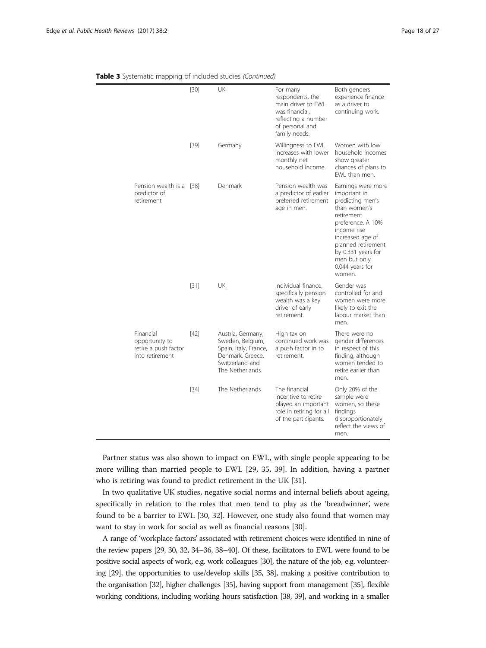|                                                                        | $[30]$ | UK                                                                                                                       | For many<br>respondents, the<br>main driver to EWL<br>was financial,<br>reflecting a number<br>of personal and<br>family needs. | Both genders<br>experience finance<br>as a driver to<br>continuing work.                                                                                                                                                              |
|------------------------------------------------------------------------|--------|--------------------------------------------------------------------------------------------------------------------------|---------------------------------------------------------------------------------------------------------------------------------|---------------------------------------------------------------------------------------------------------------------------------------------------------------------------------------------------------------------------------------|
|                                                                        | $[39]$ | Germany                                                                                                                  | Willingness to EWL<br>increases with lower<br>monthly net<br>household income.                                                  | Women with low<br>household incomes<br>show greater<br>chances of plans to<br>EWL than men.                                                                                                                                           |
| Pension wealth is a [38]<br>predictor of<br>retirement                 |        | Denmark                                                                                                                  | Pension wealth was<br>a predictor of earlier<br>preferred retirement<br>age in men.                                             | Earnings were more<br>important in<br>predicting men's<br>than women's<br>retirement<br>preference. A 10%<br>income rise<br>increased age of<br>planned retirement<br>by 0.331 years for<br>men but only<br>0.044 years for<br>women. |
|                                                                        | [31]   | UK                                                                                                                       | Individual finance.<br>specifically pension<br>wealth was a key<br>driver of early<br>retirement.                               | Gender was<br>controlled for and<br>women were more<br>likely to exit the<br>labour market than<br>men.                                                                                                                               |
| Financial<br>opportunity to<br>retire a push factor<br>into retirement | $[42]$ | Austria, Germany,<br>Sweden, Belgium,<br>Spain, Italy, France,<br>Denmark, Greece,<br>Switzerland and<br>The Netherlands | High tax on<br>continued work was<br>a push factor in to<br>retirement.                                                         | There were no<br>gender differences<br>in respect of this<br>finding, although<br>women tended to<br>retire earlier than<br>men.                                                                                                      |
|                                                                        | [34]   | The Netherlands                                                                                                          | The financial<br>incentive to retire<br>played an important<br>role in retiring for all<br>of the participants.                 | Only 20% of the<br>sample were<br>women, so these<br>findings<br>disproportionately<br>reflect the views of<br>men.                                                                                                                   |

Table 3 Systematic mapping of included studies (Continued)

Partner status was also shown to impact on EWL, with single people appearing to be more willing than married people to EWL [\[29](#page-25-0), [35](#page-25-0), [39](#page-25-0)]. In addition, having a partner who is retiring was found to predict retirement in the UK [[31](#page-25-0)].

In two qualitative UK studies, negative social norms and internal beliefs about ageing, specifically in relation to the roles that men tend to play as the 'breadwinner', were found to be a barrier to EWL [\[30, 32](#page-25-0)]. However, one study also found that women may want to stay in work for social as well as financial reasons [\[30\]](#page-25-0).

A range of 'workplace factors' associated with retirement choices were identified in nine of the review papers [\[29](#page-25-0), [30](#page-25-0), [32, 34](#page-25-0)–[36, 38](#page-25-0)–[40](#page-25-0)]. Of these, facilitators to EWL were found to be positive social aspects of work, e.g. work colleagues [\[30\]](#page-25-0), the nature of the job, e.g. volunteering [\[29\]](#page-25-0), the opportunities to use/develop skills [[35, 38\]](#page-25-0), making a positive contribution to the organisation [\[32](#page-25-0)], higher challenges [\[35\]](#page-25-0), having support from management [\[35](#page-25-0)], flexible working conditions, including working hours satisfaction [[38, 39](#page-25-0)], and working in a smaller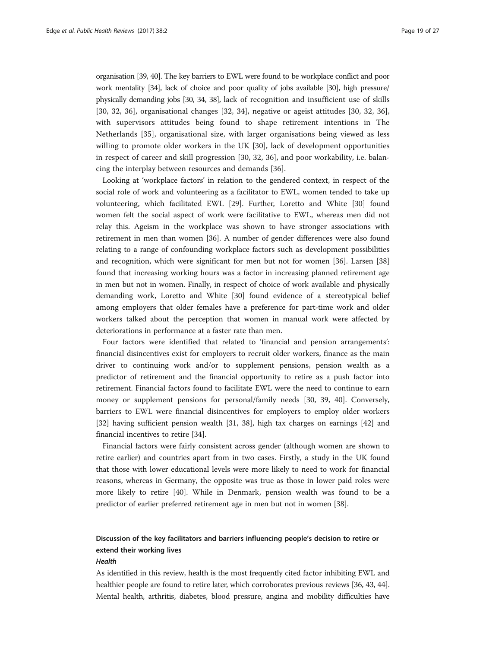organisation [[39, 40\]](#page-25-0). The key barriers to EWL were found to be workplace conflict and poor work mentality [\[34](#page-25-0)], lack of choice and poor quality of jobs available [[30\]](#page-25-0), high pressure/ physically demanding jobs [\[30](#page-25-0), [34](#page-25-0), [38\]](#page-25-0), lack of recognition and insufficient use of skills [[30, 32, 36\]](#page-25-0), organisational changes [\[32](#page-25-0), [34](#page-25-0)], negative or ageist attitudes [\[30](#page-25-0), [32](#page-25-0), [36](#page-25-0)], with supervisors attitudes being found to shape retirement intentions in The Netherlands [[35\]](#page-25-0), organisational size, with larger organisations being viewed as less willing to promote older workers in the UK [[30\]](#page-25-0), lack of development opportunities in respect of career and skill progression [[30, 32](#page-25-0), [36\]](#page-25-0), and poor workability, i.e. balancing the interplay between resources and demands [[36\]](#page-25-0).

Looking at 'workplace factors' in relation to the gendered context, in respect of the social role of work and volunteering as a facilitator to EWL, women tended to take up volunteering, which facilitated EWL [[29](#page-25-0)]. Further, Loretto and White [[30](#page-25-0)] found women felt the social aspect of work were facilitative to EWL, whereas men did not relay this. Ageism in the workplace was shown to have stronger associations with retirement in men than women [[36\]](#page-25-0). A number of gender differences were also found relating to a range of confounding workplace factors such as development possibilities and recognition, which were significant for men but not for women [\[36](#page-25-0)]. Larsen [[38](#page-25-0)] found that increasing working hours was a factor in increasing planned retirement age in men but not in women. Finally, in respect of choice of work available and physically demanding work, Loretto and White [\[30\]](#page-25-0) found evidence of a stereotypical belief among employers that older females have a preference for part-time work and older workers talked about the perception that women in manual work were affected by deteriorations in performance at a faster rate than men.

Four factors were identified that related to 'financial and pension arrangements': financial disincentives exist for employers to recruit older workers, finance as the main driver to continuing work and/or to supplement pensions, pension wealth as a predictor of retirement and the financial opportunity to retire as a push factor into retirement. Financial factors found to facilitate EWL were the need to continue to earn money or supplement pensions for personal/family needs [[30](#page-25-0), [39, 40\]](#page-25-0). Conversely, barriers to EWL were financial disincentives for employers to employ older workers [[32\]](#page-25-0) having sufficient pension wealth [\[31](#page-25-0), [38](#page-25-0)], high tax charges on earnings [\[42](#page-25-0)] and financial incentives to retire [[34\]](#page-25-0).

Financial factors were fairly consistent across gender (although women are shown to retire earlier) and countries apart from in two cases. Firstly, a study in the UK found that those with lower educational levels were more likely to need to work for financial reasons, whereas in Germany, the opposite was true as those in lower paid roles were more likely to retire [\[40](#page-25-0)]. While in Denmark, pension wealth was found to be a predictor of earlier preferred retirement age in men but not in women [\[38](#page-25-0)].

## Discussion of the key facilitators and barriers influencing people's decision to retire or extend their working lives

#### Health

As identified in this review, health is the most frequently cited factor inhibiting EWL and healthier people are found to retire later, which corroborates previous reviews [\[36, 43](#page-25-0), [44](#page-25-0)]. Mental health, arthritis, diabetes, blood pressure, angina and mobility difficulties have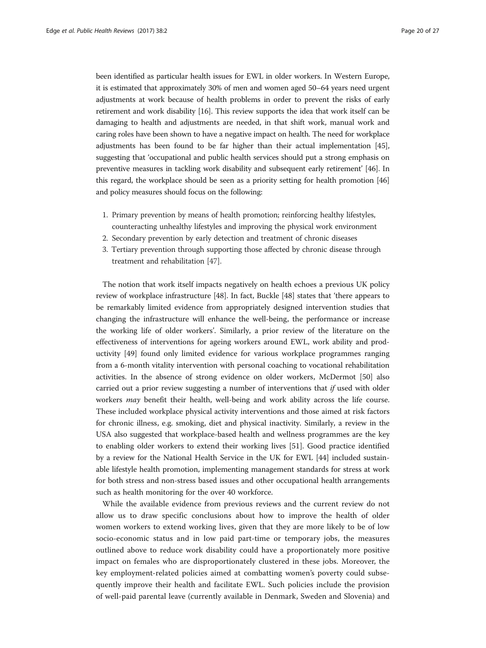been identified as particular health issues for EWL in older workers. In Western Europe, it is estimated that approximately 30% of men and women aged 50–64 years need urgent adjustments at work because of health problems in order to prevent the risks of early retirement and work disability [[16\]](#page-24-0). This review supports the idea that work itself can be damaging to health and adjustments are needed, in that shift work, manual work and caring roles have been shown to have a negative impact on health. The need for workplace adjustments has been found to be far higher than their actual implementation [[45](#page-25-0)], suggesting that 'occupational and public health services should put a strong emphasis on preventive measures in tackling work disability and subsequent early retirement' [[46\]](#page-25-0). In this regard, the workplace should be seen as a priority setting for health promotion [[46](#page-25-0)] and policy measures should focus on the following:

- 1. Primary prevention by means of health promotion; reinforcing healthy lifestyles, counteracting unhealthy lifestyles and improving the physical work environment
- 2. Secondary prevention by early detection and treatment of chronic diseases
- 3. Tertiary prevention through supporting those affected by chronic disease through treatment and rehabilitation [[47](#page-25-0)].

The notion that work itself impacts negatively on health echoes a previous UK policy review of workplace infrastructure [[48\]](#page-25-0). In fact, Buckle [\[48](#page-25-0)] states that 'there appears to be remarkably limited evidence from appropriately designed intervention studies that changing the infrastructure will enhance the well-being, the performance or increase the working life of older workers'. Similarly, a prior review of the literature on the effectiveness of interventions for ageing workers around EWL, work ability and productivity [\[49](#page-25-0)] found only limited evidence for various workplace programmes ranging from a 6-month vitality intervention with personal coaching to vocational rehabilitation activities. In the absence of strong evidence on older workers, McDermot [\[50\]](#page-25-0) also carried out a prior review suggesting a number of interventions that if used with older workers may benefit their health, well-being and work ability across the life course. These included workplace physical activity interventions and those aimed at risk factors for chronic illness, e.g. smoking, diet and physical inactivity. Similarly, a review in the USA also suggested that workplace-based health and wellness programmes are the key to enabling older workers to extend their working lives [[51](#page-25-0)]. Good practice identified by a review for the National Health Service in the UK for EWL [[44](#page-25-0)] included sustainable lifestyle health promotion, implementing management standards for stress at work for both stress and non-stress based issues and other occupational health arrangements such as health monitoring for the over 40 workforce.

While the available evidence from previous reviews and the current review do not allow us to draw specific conclusions about how to improve the health of older women workers to extend working lives, given that they are more likely to be of low socio-economic status and in low paid part-time or temporary jobs, the measures outlined above to reduce work disability could have a proportionately more positive impact on females who are disproportionately clustered in these jobs. Moreover, the key employment-related policies aimed at combatting women's poverty could subsequently improve their health and facilitate EWL. Such policies include the provision of well-paid parental leave (currently available in Denmark, Sweden and Slovenia) and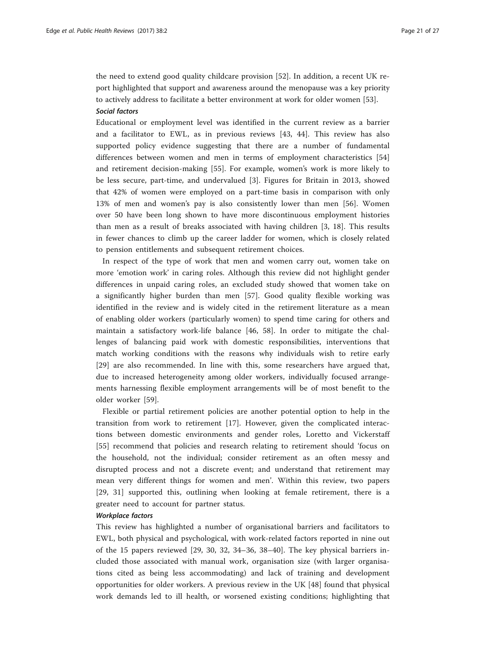the need to extend good quality childcare provision [[52](#page-25-0)]. In addition, a recent UK report highlighted that support and awareness around the menopause was a key priority to actively address to facilitate a better environment at work for older women [\[53](#page-25-0)]. Social factors

Educational or employment level was identified in the current review as a barrier and a facilitator to EWL, as in previous reviews [\[43](#page-25-0), [44](#page-25-0)]. This review has also supported policy evidence suggesting that there are a number of fundamental differences between women and men in terms of employment characteristics [\[54](#page-25-0)] and retirement decision-making [[55\]](#page-25-0). For example, women's work is more likely to be less secure, part-time, and undervalued [[3\]](#page-24-0). Figures for Britain in 2013, showed that 42% of women were employed on a part-time basis in comparison with only 13% of men and women's pay is also consistently lower than men [[56\]](#page-25-0). Women over 50 have been long shown to have more discontinuous employment histories than men as a result of breaks associated with having children [[3, 18](#page-24-0)]. This results in fewer chances to climb up the career ladder for women, which is closely related to pension entitlements and subsequent retirement choices.

In respect of the type of work that men and women carry out, women take on more 'emotion work' in caring roles. Although this review did not highlight gender differences in unpaid caring roles, an excluded study showed that women take on a significantly higher burden than men [[57\]](#page-26-0). Good quality flexible working was identified in the review and is widely cited in the retirement literature as a mean of enabling older workers (particularly women) to spend time caring for others and maintain a satisfactory work-life balance [\[46,](#page-25-0) [58](#page-26-0)]. In order to mitigate the challenges of balancing paid work with domestic responsibilities, interventions that match working conditions with the reasons why individuals wish to retire early [[29\]](#page-25-0) are also recommended. In line with this, some researchers have argued that, due to increased heterogeneity among older workers, individually focused arrangements harnessing flexible employment arrangements will be of most benefit to the older worker [\[59](#page-26-0)].

Flexible or partial retirement policies are another potential option to help in the transition from work to retirement [[17\]](#page-24-0). However, given the complicated interactions between domestic environments and gender roles, Loretto and Vickerstaff [[55\]](#page-25-0) recommend that policies and research relating to retirement should 'focus on the household, not the individual; consider retirement as an often messy and disrupted process and not a discrete event; and understand that retirement may mean very different things for women and men'. Within this review, two papers [[29, 31\]](#page-25-0) supported this, outlining when looking at female retirement, there is a greater need to account for partner status.

#### Workplace factors

This review has highlighted a number of organisational barriers and facilitators to EWL, both physical and psychological, with work-related factors reported in nine out of the 15 papers reviewed [[29, 30](#page-25-0), [32](#page-25-0), [34](#page-25-0)–[36, 38](#page-25-0)–[40](#page-25-0)]. The key physical barriers included those associated with manual work, organisation size (with larger organisations cited as being less accommodating) and lack of training and development opportunities for older workers. A previous review in the UK [[48](#page-25-0)] found that physical work demands led to ill health, or worsened existing conditions; highlighting that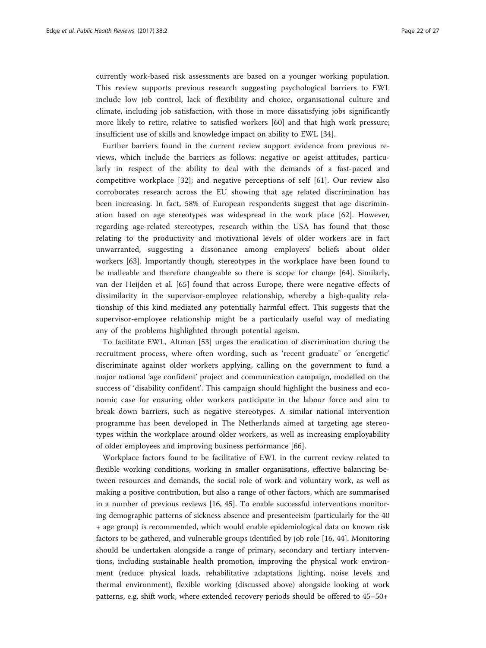currently work-based risk assessments are based on a younger working population. This review supports previous research suggesting psychological barriers to EWL include low job control, lack of flexibility and choice, organisational culture and climate, including job satisfaction, with those in more dissatisfying jobs significantly more likely to retire, relative to satisfied workers [[60\]](#page-26-0) and that high work pressure; insufficient use of skills and knowledge impact on ability to EWL [\[34](#page-25-0)].

Further barriers found in the current review support evidence from previous reviews, which include the barriers as follows: negative or ageist attitudes, particularly in respect of the ability to deal with the demands of a fast-paced and competitive workplace [\[32](#page-25-0)]; and negative perceptions of self [[61](#page-26-0)]. Our review also corroborates research across the EU showing that age related discrimination has been increasing. In fact, 58% of European respondents suggest that age discrimination based on age stereotypes was widespread in the work place [\[62](#page-26-0)]. However, regarding age-related stereotypes, research within the USA has found that those relating to the productivity and motivational levels of older workers are in fact unwarranted, suggesting a dissonance among employers' beliefs about older workers [[63](#page-26-0)]. Importantly though, stereotypes in the workplace have been found to be malleable and therefore changeable so there is scope for change [[64\]](#page-26-0). Similarly, van der Heijden et al. [\[65](#page-26-0)] found that across Europe, there were negative effects of dissimilarity in the supervisor-employee relationship, whereby a high-quality relationship of this kind mediated any potentially harmful effect. This suggests that the supervisor-employee relationship might be a particularly useful way of mediating any of the problems highlighted through potential ageism.

To facilitate EWL, Altman [[53\]](#page-25-0) urges the eradication of discrimination during the recruitment process, where often wording, such as 'recent graduate' or 'energetic' discriminate against older workers applying, calling on the government to fund a major national 'age confident' project and communication campaign, modelled on the success of 'disability confident'. This campaign should highlight the business and economic case for ensuring older workers participate in the labour force and aim to break down barriers, such as negative stereotypes. A similar national intervention programme has been developed in The Netherlands aimed at targeting age stereotypes within the workplace around older workers, as well as increasing employability of older employees and improving business performance [[66\]](#page-26-0).

Workplace factors found to be facilitative of EWL in the current review related to flexible working conditions, working in smaller organisations, effective balancing between resources and demands, the social role of work and voluntary work, as well as making a positive contribution, but also a range of other factors, which are summarised in a number of previous reviews [[16,](#page-24-0) [45](#page-25-0)]. To enable successful interventions monitoring demographic patterns of sickness absence and presenteeism (particularly for the 40 + age group) is recommended, which would enable epidemiological data on known risk factors to be gathered, and vulnerable groups identified by job role [[16,](#page-24-0) [44](#page-25-0)]. Monitoring should be undertaken alongside a range of primary, secondary and tertiary interventions, including sustainable health promotion, improving the physical work environment (reduce physical loads, rehabilitative adaptations lighting, noise levels and thermal environment), flexible working (discussed above) alongside looking at work patterns, e.g. shift work, where extended recovery periods should be offered to 45–50+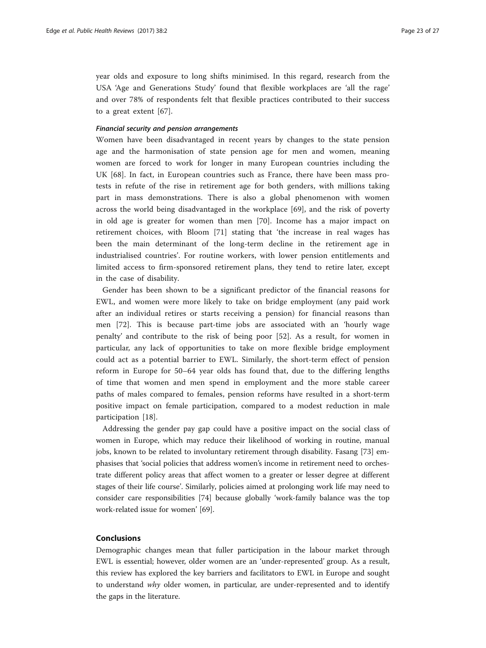year olds and exposure to long shifts minimised. In this regard, research from the USA 'Age and Generations Study' found that flexible workplaces are 'all the rage' and over 78% of respondents felt that flexible practices contributed to their success to a great extent [\[67](#page-26-0)].

### Financial security and pension arrangements

Women have been disadvantaged in recent years by changes to the state pension age and the harmonisation of state pension age for men and women, meaning women are forced to work for longer in many European countries including the UK [[68\]](#page-26-0). In fact, in European countries such as France, there have been mass protests in refute of the rise in retirement age for both genders, with millions taking part in mass demonstrations. There is also a global phenomenon with women across the world being disadvantaged in the workplace [[69\]](#page-26-0), and the risk of poverty in old age is greater for women than men [[70\]](#page-26-0). Income has a major impact on retirement choices, with Bloom [\[71](#page-26-0)] stating that 'the increase in real wages has been the main determinant of the long-term decline in the retirement age in industrialised countries'. For routine workers, with lower pension entitlements and limited access to firm-sponsored retirement plans, they tend to retire later, except in the case of disability.

Gender has been shown to be a significant predictor of the financial reasons for EWL, and women were more likely to take on bridge employment (any paid work after an individual retires or starts receiving a pension) for financial reasons than men [[72\]](#page-26-0). This is because part-time jobs are associated with an 'hourly wage penalty' and contribute to the risk of being poor [[52\]](#page-25-0). As a result, for women in particular, any lack of opportunities to take on more flexible bridge employment could act as a potential barrier to EWL. Similarly, the short-term effect of pension reform in Europe for 50–64 year olds has found that, due to the differing lengths of time that women and men spend in employment and the more stable career paths of males compared to females, pension reforms have resulted in a short-term positive impact on female participation, compared to a modest reduction in male participation [[18\]](#page-24-0).

Addressing the gender pay gap could have a positive impact on the social class of women in Europe, which may reduce their likelihood of working in routine, manual jobs, known to be related to involuntary retirement through disability. Fasang [\[73](#page-26-0)] emphasises that 'social policies that address women's income in retirement need to orchestrate different policy areas that affect women to a greater or lesser degree at different stages of their life course'. Similarly, policies aimed at prolonging work life may need to consider care responsibilities [[74](#page-26-0)] because globally 'work-family balance was the top work-related issue for women' [[69\]](#page-26-0).

### Conclusions

Demographic changes mean that fuller participation in the labour market through EWL is essential; however, older women are an 'under-represented' group. As a result, this review has explored the key barriers and facilitators to EWL in Europe and sought to understand why older women, in particular, are under-represented and to identify the gaps in the literature.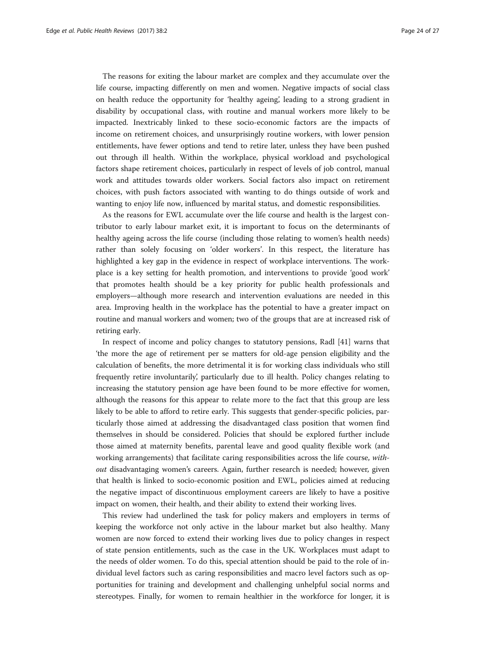The reasons for exiting the labour market are complex and they accumulate over the life course, impacting differently on men and women. Negative impacts of social class on health reduce the opportunity for 'healthy ageing', leading to a strong gradient in disability by occupational class, with routine and manual workers more likely to be impacted. Inextricably linked to these socio-economic factors are the impacts of income on retirement choices, and unsurprisingly routine workers, with lower pension entitlements, have fewer options and tend to retire later, unless they have been pushed out through ill health. Within the workplace, physical workload and psychological factors shape retirement choices, particularly in respect of levels of job control, manual work and attitudes towards older workers. Social factors also impact on retirement choices, with push factors associated with wanting to do things outside of work and wanting to enjoy life now, influenced by marital status, and domestic responsibilities.

As the reasons for EWL accumulate over the life course and health is the largest contributor to early labour market exit, it is important to focus on the determinants of healthy ageing across the life course (including those relating to women's health needs) rather than solely focusing on 'older workers'. In this respect, the literature has highlighted a key gap in the evidence in respect of workplace interventions. The workplace is a key setting for health promotion, and interventions to provide 'good work' that promotes health should be a key priority for public health professionals and employers—although more research and intervention evaluations are needed in this area. Improving health in the workplace has the potential to have a greater impact on routine and manual workers and women; two of the groups that are at increased risk of retiring early.

In respect of income and policy changes to statutory pensions, Radl [\[41\]](#page-25-0) warns that 'the more the age of retirement per se matters for old-age pension eligibility and the calculation of benefits, the more detrimental it is for working class individuals who still frequently retire involuntarily', particularly due to ill health. Policy changes relating to increasing the statutory pension age have been found to be more effective for women, although the reasons for this appear to relate more to the fact that this group are less likely to be able to afford to retire early. This suggests that gender-specific policies, particularly those aimed at addressing the disadvantaged class position that women find themselves in should be considered. Policies that should be explored further include those aimed at maternity benefits, parental leave and good quality flexible work (and working arrangements) that facilitate caring responsibilities across the life course, without disadvantaging women's careers. Again, further research is needed; however, given that health is linked to socio-economic position and EWL, policies aimed at reducing the negative impact of discontinuous employment careers are likely to have a positive impact on women, their health, and their ability to extend their working lives.

This review had underlined the task for policy makers and employers in terms of keeping the workforce not only active in the labour market but also healthy. Many women are now forced to extend their working lives due to policy changes in respect of state pension entitlements, such as the case in the UK. Workplaces must adapt to the needs of older women. To do this, special attention should be paid to the role of individual level factors such as caring responsibilities and macro level factors such as opportunities for training and development and challenging unhelpful social norms and stereotypes. Finally, for women to remain healthier in the workforce for longer, it is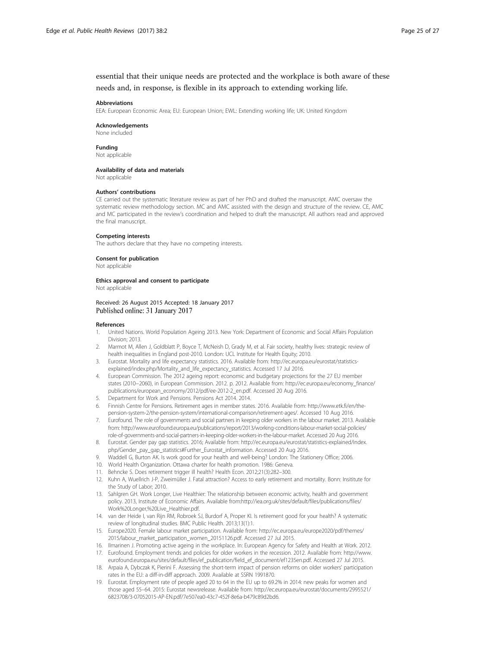### <span id="page-24-0"></span>essential that their unique needs are protected and the workplace is both aware of these needs and, in response, is flexible in its approach to extending working life.

#### Abbreviations

EEA: European Economic Area; EU: European Union; EWL: Extending working life; UK: United Kingdom

Acknowledgements

None included

Funding Not applicable

#### Availability of data and materials

Not applicable

#### Authors' contributions

CE carried out the systematic literature review as part of her PhD and drafted the manuscript. AMC oversaw the systematic review methodology section. MC and AMC assisted with the design and structure of the review. CE, AMC and MC participated in the review's coordination and helped to draft the manuscript. All authors read and approved the final manuscript.

#### Competing interests

The authors declare that they have no competing interests.

Consent for publication

Not applicable

#### Ethics approval and consent to participate Not applicable

Received: 26 August 2015 Accepted: 18 January 2017 Published online: 31 January 2017

#### References

- 1. United Nations. World Population Ageing 2013. New York: Department of Economic and Social Affairs Population Division; 2013.
- 2. Marmot M, Allen J, Goldblatt P, Boyce T, McNeish D, Grady M, et al. Fair society, healthy lives: strategic review of health inequalities in England post-2010. London: UCL Institute for Health Equity; 2010.
- 3. Eurostat. Mortality and life expectancy statistics. 2016. Available from: [http://ec.europa.eu/eurostat/statistics](http://ec.europa.eu/eurostat/statistics-explained/index.php/Mortality_and_life_expectancy_statistics)[explained/index.php/Mortality\\_and\\_life\\_expectancy\\_statistics](http://ec.europa.eu/eurostat/statistics-explained/index.php/Mortality_and_life_expectancy_statistics). Accessed 17 Jul 2016.
- 4. European Commission. The 2012 ageing report: economic and budgetary projections for the 27 EU member states (2010−2060), in European Commission. 2012. p. 2012. Available from: [http://ec.europa.eu/economy\\_finance/](http://ec.europa.eu/economy_finance/publications/european_economy/2012/pdf/ee-2012-2_en.pdf) [publications/european\\_economy/2012/pdf/ee-2012-2\\_en.pdf](http://ec.europa.eu/economy_finance/publications/european_economy/2012/pdf/ee-2012-2_en.pdf). Accessed 20 Aug 2016.
- 5. Department for Work and Pensions. Pensions Act 2014. 2014.
- 6. Finnish Centre for Pensions. Retirement ages in member states. 2016. Available from: [http://www.etk.fi/en/the](http://www.etk.fi/en/the-pension-system-2/the-pension-system/international-comparison/retirement-ages/)[pension-system-2/the-pension-system/international-comparison/retirement-ages/](http://www.etk.fi/en/the-pension-system-2/the-pension-system/international-comparison/retirement-ages/). Accessed 10 Aug 2016.
- 7. Eurofound. The role of governments and social partners in keeping older workers in the labour market. 2013. Available from: [http://www.eurofound.europa.eu/publications/report/2013/working-conditions-labour-market-social-policies/](http://www.eurofound.europa.eu/publications/report/2013/working-conditions-labour-market-social-policies/role-of-governments-and-social-partners-in-keeping-older-workers-in-the-labour-market) [role-of-governments-and-social-partners-in-keeping-older-workers-in-the-labour-market.](http://www.eurofound.europa.eu/publications/report/2013/working-conditions-labour-market-social-policies/role-of-governments-and-social-partners-in-keeping-older-workers-in-the-labour-market) Accessed 20 Aug 2016.
- 8. Eurostat. Gender pay gap statistics. 2016; Available from: [http://ec.europa.eu/eurostat/statistics-explained/index.](http://ec.europa.eu/eurostat/statistics-explained/index.php/Gender_pay_gap_statistics#Further_Eurostat_information) [php/Gender\\_pay\\_gap\\_statistics#Further\\_Eurostat\\_information.](http://ec.europa.eu/eurostat/statistics-explained/index.php/Gender_pay_gap_statistics#Further_Eurostat_information) Accessed 20 Aug 2016.
- 9. Waddell G, Burton AK. Is work good for your health and well-being? London: The Stationery Office; 2006.
- 10. World Health Organization. Ottawa charter for health promotion. 1986: Geneva.
- 11. Behncke S. Does retirement trigger ill health? Health Econ. 2012;21(3):282–300.
- 12. Kuhn A, Wuellrich J-P, Zweimüller J. Fatal attraction? Access to early retirement and mortality. Bonn: Insititute for the Study of Labor; 2010.
- 13. Sahlgren GH. Work Longer, Live Healthier: The relationship between economic activity, health and government policy. 2013, Institute of Economic Affairs. Available from:[http://iea.org.uk/sites/default/files/publications/files/](http://iea.org.uk/sites/default/files/publications/files/Work%20Longer,%20Live_Healthier.pdf) [Work%20Longer,%20Live\\_Healthier.pdf.](http://iea.org.uk/sites/default/files/publications/files/Work%20Longer,%20Live_Healthier.pdf)
- 14. van der Heide I, van Rijn RM, Robroek SJ, Burdorf A, Proper KI. Is retirement good for your health? A systematic review of longitudinal studies. BMC Public Health. 2013;13(1):1.
- 15. Europe2020. Female labour market participation. Available from: [http://ec.europa.eu/europe2020/pdf/themes/](http://ec.europa.eu/europe2020/pdf/themes/2015/labour_market_participation_women_20151126.pdf) [2015/labour\\_market\\_participation\\_women\\_20151126.pdf](http://ec.europa.eu/europe2020/pdf/themes/2015/labour_market_participation_women_20151126.pdf). Accessed 27 Jul 2015.
- 16. Ilmarinen J. Promoting active ageing in the workplace. In: European Agency for Safety and Health at Work. 2012.
- 17. Eurofound. Employment trends and policies for older workers in the recession. 2012. Available from: [http://www.](http://www.eurofound.europa.eu/sites/default/files/ef_publication/field_ef_document/ef1235en.pdf) [eurofound.europa.eu/sites/default/files/ef\\_publication/field\\_ef\\_document/ef1235en.pdf](http://www.eurofound.europa.eu/sites/default/files/ef_publication/field_ef_document/ef1235en.pdf). Accessed 27 Jul 2015.
- 18. Arpaia A, Dybczak K, Pierini F. Assessing the short-term impact of pension reforms on older workers' participation rates in the EU: a diff-in-diff approach. 2009. Available at SSRN 1991870.
- 19. Eurostat. Employment rate of people aged 20 to 64 in the EU up to 69.2% in 2014: new peaks for women and those aged 55–64. 2015: Eurostat newsrelease. Available from: [http://ec.europa.eu/eurostat/documents/2995521/](http://ec.europa.eu/eurostat/documents/2995521/6823708/3-07052015-AP-EN.pdf/7e507ea0-43c7-452f-8e6a-b479c89d2bd6) [6823708/3-07052015-AP-EN.pdf/7e507ea0-43c7-452f-8e6a-b479c89d2bd6](http://ec.europa.eu/eurostat/documents/2995521/6823708/3-07052015-AP-EN.pdf/7e507ea0-43c7-452f-8e6a-b479c89d2bd6).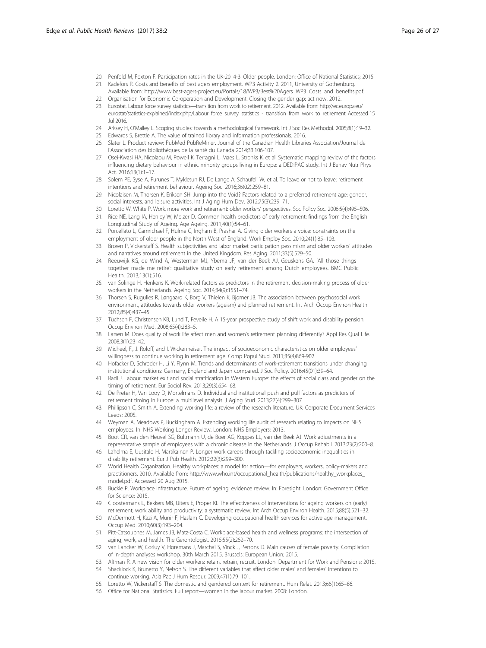- <span id="page-25-0"></span>20. Penfold M, Foxton F. Participation rates in the UK-2014-3. Older people. London: Office of National Statistics; 2015. 21. Kadefors R. Costs and benefits of best agers employment. WP3 Activity 2. 2011, University of Gothenburg.
- Available from: [http://www.best-agers-project.eu/Portals/18/WP3/Best%20Agers\\_WP3\\_Costs\\_and\\_benefits.pdf](http://www.best-agers-project.eu/Portals/18/WP3/Best%20Agers_WP3_Costs_and_benefits.pdf).
- 22. Organisation for Economic Co-operation and Development. Closing the gender gap: act now. 2012.
- 23. Eurostat. Labour force survey statistics—transition from work to retirement. 2012. Available from: [http://ec.europa.eu/](http://ec.europa.eu/eurostat/statistics-explained/index.php/Labour_force_survey_statistics_-_transition_from_work_to_retirement) [eurostat/statistics-explained/index.php/Labour\\_force\\_survey\\_statistics\\_-\\_transition\\_from\\_work\\_to\\_retirement.](http://ec.europa.eu/eurostat/statistics-explained/index.php/Labour_force_survey_statistics_-_transition_from_work_to_retirement) Accessed 15 Jul 2016.
- 24. Arksey H, O'Malley L. Scoping studies: towards a methodological framework. Int J Soc Res Methodol. 2005;8(1):19–32.
- 25. Edwards S, Brettle A. The value of trained library and information professionals. 2016.
- 26. Slater L. Product review: PubMed PubReMiner. Journal of the Canadian Health Libraries Association/Journal de l'Association des bibliothèques de la santé du Canada 2014;33:106-107.
- 27. Osei-Kwasi HA, Nicolaou M, Powell K, Terragni L, Maes L, Stronks K, et al. Systematic mapping review of the factors influencing dietary behaviour in ethnic minority groups living in Europe: a DEDIPAC study. Int J Behav Nutr Phys Act. 2016;13(1):1–17.
- 28. Solem PE, Syse A, Furunes T, Mykletun RJ, De Lange A, Schaufeli W, et al. To leave or not to leave: retirement intentions and retirement behaviour. Ageing Soc. 2016;36(02):259–81.
- 29. Nicolaisen M, Thorsen K, Eriksen SH. Jump into the Void? Factors related to a preferred retirement age: gender, social interests, and leisure activities. Int J Aging Hum Dev. 2012;75(3):239–71.
- 30. Loretto W, White P. Work, more work and retirement: older workers' perspectives. Soc Policy Soc. 2006;5(4):495–506.
- 31. Rice NE, Lang IA, Henley W, Melzer D. Common health predictors of early retirement: findings from the English Longitudinal Study of Ageing. Age Ageing. 2011;40(1):54–61.
- 32. Porcellato L, Carmichael F, Hulme C, Ingham B, Prashar A. Giving older workers a voice: constraints on the employment of older people in the North West of England. Work Employ Soc. 2010;24(1):85–103.
- 33. Brown P, Vickerstaff S. Health subjectivities and labor market participation pessimism and older workers' attitudes and narratives around retirement in the United Kingdom. Res Aging. 2011;33(5):529–50.
- 34. Reeuwijk KG, de Wind A, Westerman MJ, Ybema JF, van der Beek AJ, Geuskens GA. 'All those things together made me retire': qualitative study on early retirement among Dutch employees. BMC Public Health. 2013;13(1):516.
- 35. van Solinge H, Henkens K. Work-related factors as predictors in the retirement decision-making process of older workers in the Netherlands. Ageing Soc. 2014;34(9):1551–74.
- 36. Thorsen S, Rugulies R, Løngaard K, Borg V, Thielen K, Bjorner JB. The association between psychosocial work environment, attitudes towards older workers (ageism) and planned retirement. Int Arch Occup Environ Health. 2012;85(4):437–45.
- 37. Tüchsen F, Christensen KB, Lund T, Feveile H. A 15-year prospective study of shift work and disability pension. Occup Environ Med. 2008;65(4):283–5.
- 38. Larsen M. Does quality of work life affect men and women's retirement planning differently? Appl Res Qual Life. 2008;3(1):23–42.
- 39. Micheel, F., J. Roloff, and I. Wickenheiser. The impact of socioeconomic characteristics on older employees' willingness to continue working in retirement age. Comp Popul Stud. 2011;35(4)869-902.
- 40. Hofacker D, Schroder H, Li Y, Flynn M. Trends and determinants of work-retirement transitions under changing institutional conditions: Germany, England and Japan compared. J Soc Policy. 2016;45(01):39–64.
- 41. Radl J. Labour market exit and social stratification in Western Europe: the effects of social class and gender on the timing of retirement. Eur Sociol Rev. 2013;29(3):654–68.
- 42. De Preter H, Van Looy D, Mortelmans D. Individual and institutional push and pull factors as predictors of retirement timing in Europe: a multilevel analysis. J Aging Stud. 2013;27(4):299–307.
- 43. Phillipson C, Smith A. Extending working life: a review of the research literature. UK: Corporate Document Services Leeds; 2005.
- 44. Weyman A, Meadows P, Buckingham A. Extending working life audit of research relating to impacts on NHS employees. In: NHS Working Longer Review. London: NHS Employers; 2013.
- 45. Boot CR, van den Heuvel SG, Bültmann U, de Boer AG, Koppes LL, van der Beek AJ. Work adjustments in a representative sample of employees with a chronic disease in the Netherlands. J Occup Rehabil. 2013;23(2):200–8.
- 46. Lahelma E, Uusitalo H, Martikainen P. Longer work careers through tackling socioeconomic inequalities in disability retirement. Eur J Pub Health. 2012;22(3):299–300.
- 47. World Health Organization. Healthy workplaces: a model for action—for employers, workers, policy-makers and practitioners. 2010. Available from: [http://www.who.int/occupational\\_health/publications/healthy\\_workplaces\\_](http://www.who.int/occupational_health/publications/healthy_workplaces_model.pdf) [model.pdf.](http://www.who.int/occupational_health/publications/healthy_workplaces_model.pdf) Accessed 20 Aug 2015.
- 48. Buckle P. Workplace infrastructure. Future of ageing: evidence review. In: Foresight. London: Government Office for Science; 2015.
- 49. Cloostermans L, Bekkers MB, Uiters E, Proper KI. The effectiveness of interventions for ageing workers on (early) retirement, work ability and productivity: a systematic review. Int Arch Occup Environ Health. 2015;88(5):521–32.
- 50. McDermott H, Kazi A, Munir F, Haslam C. Developing occupational health services for active age management. Occup Med. 2010;60(3):193–204.
- 51. Pitt-Catsouphes M, James JB, Matz-Costa C. Workplace-based health and wellness programs: the intersection of aging, work, and health. The Gerontologist. 2015;55(2):262–70.
- 52. van Lancker W, Corluy V, Horemans J, Marchal S, Vinck J, Perrons D. Main causes of female poverty. Compliation of in-depth analyses workshop, 30th March 2015. Brussels: European Union; 2015.
- 53. Altman R. A new vision for older workers: retain, retrain, recruit. London: Department for Work and Pensions; 2015. 54. Shacklock K, Brunetto Y, Nelson S. The different variables that affect older males' and females' intentions to
- continue working. Asia Pac J Hum Resour. 2009;47(1):79–101.
- 55. Loretto W, Vickerstaff S. The domestic and gendered context for retirement. Hum Relat. 2013;66(1):65–86.
- 56. Office for National Statistics. Full report—women in the labour market. 2008: London.